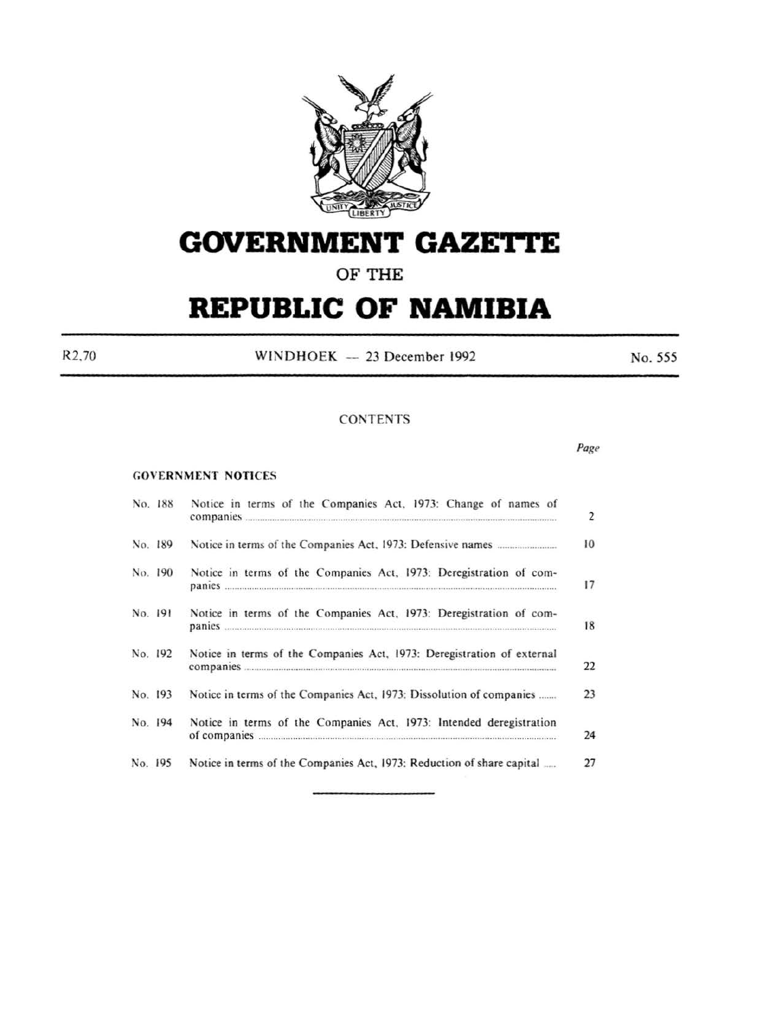

# **GOVERNMENT GAZE'rtE**

# **OF THE**

# **REPUBLIC OF NAMIBIA**

R2.70 WINDHOEK - 23 December 1992 No. 555

Page

#### CONTENTS

#### GOVERNMENT NOTICES

| No. 188 | Notice in terms of the Companies Act, 1973: Change of names of                                                                                                                                                                                                                                             |
|---------|------------------------------------------------------------------------------------------------------------------------------------------------------------------------------------------------------------------------------------------------------------------------------------------------------------|
| No. 189 |                                                                                                                                                                                                                                                                                                            |
| No. 190 | Notice in terms of the Companies Act, 1973: Deregistration of com-<br>panies <i>support to the communication</i> and contain the container of the container of the containing of the containing of the containing of the containing of the containing of the containing of the containing of the containi  |
| No. 191 | Notice in terms of the Companies Act, 1973: Deregistration of com-<br>panies <b>contract to the contract of the contract of the contract of the contract of the contract of the contract of the contract of the contract of the contract of the contract of the contract of the contract of the contra</b> |
| No. 192 | Notice in terms of the Companies Act, 1973: Deregistration of external                                                                                                                                                                                                                                     |
| No. 193 | Notice in terms of the Companies Act, 1973: Dissolution of companies                                                                                                                                                                                                                                       |
| No. 194 | Notice in terms of the Companies Act, 1973: Intended deregistration                                                                                                                                                                                                                                        |
| No. 195 | Notice in terms of the Companies Act, 1973: Reduction of share capital                                                                                                                                                                                                                                     |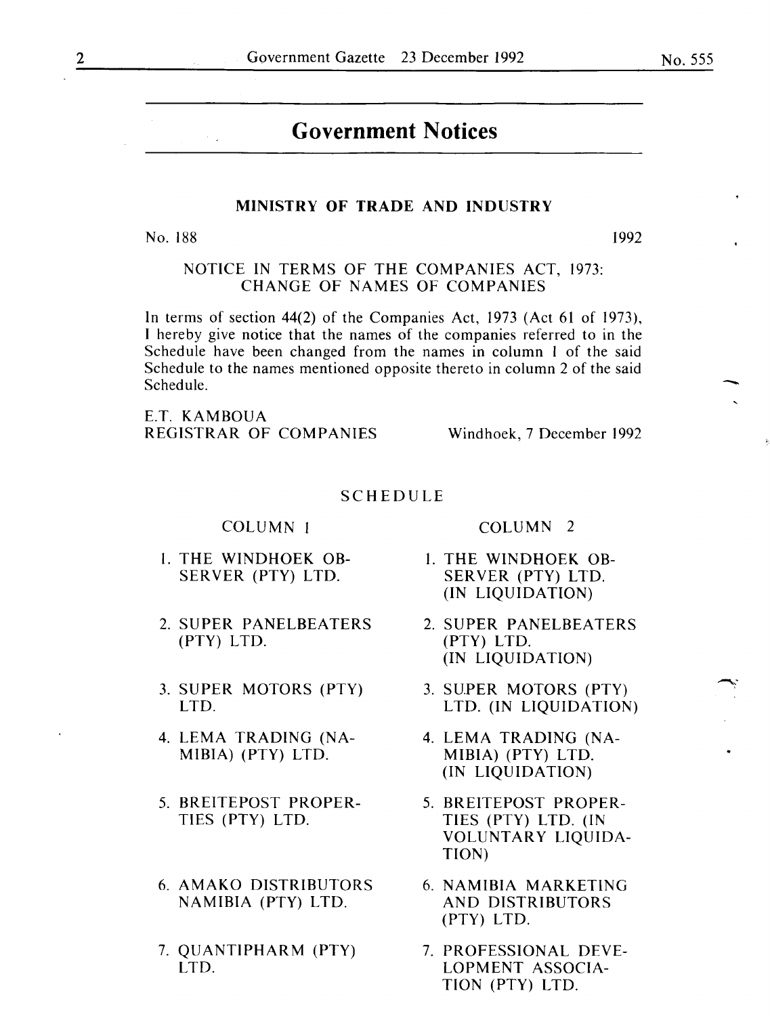# **Government Notices**

#### MINISTRY OF TRADE AND INDUSTRY

No. 188 1992

NOTICE IN TERMS OF THE COMPANIES ACT, 1973: CHANGE OF NAMES OF COMPANIES

In terms of section 44(2) of the Companies Act, 1973 (Act 61 of 1973), I hereby give notice that the names of the companies referred to in the Schedule have been changed from the names in column I of the said Schedule to the names mentioned opposite thereto in column 2 of the said Schedule.

E.T. KAMBOUA REGISTRAR OF COMPANIES Windhoek, 7 December 1992

#### SCHEDULE

COLUMN I

- I. THE WINDHOEK OB-SERVER (PTY) LTD.
- 2. SUPER PANELBEATERS (PTY) LTD.
- 3. SUPER MOTORS (PTY) LTD.
- 4. LEMA TRADING (NA-MIBIA) (PTY) LTD.
- 5. BREITEPOST PROPER-TIES (PTY) LTD.
- 6. AMAKO DISTRIBUTORS NAMIBIA (PTY) LTD.
- 7. QUANTIPHARM (PTY) LTD.

COLUMN 2

- I. THE WINDHOEK OB-SERVER (PTY) LTD. (IN LIQUIDATION)
- 2. SUPER PANELBEATERS (PTY) LTD. (IN LIQUIDATION)
- 3. SUPER MOTORS (PTY) LTD. (IN LIQUIDATION)
- 4. LEMA TRADING (NA-MIBIA) (PTY) LTD. (IN LIQUIDATION)
- 5. BREITEPOST PROPER-TIES (PTY) LTD. (IN VOLUNTARY LIQUIDA-TION)
- 6. NAMIBIA MARKETING AND DISTRIBUTORS (PTY) LTD.
- 7. PROFESSIONAL DEVE-LOPMENT ASSOCIA-TION (PTY) LTD.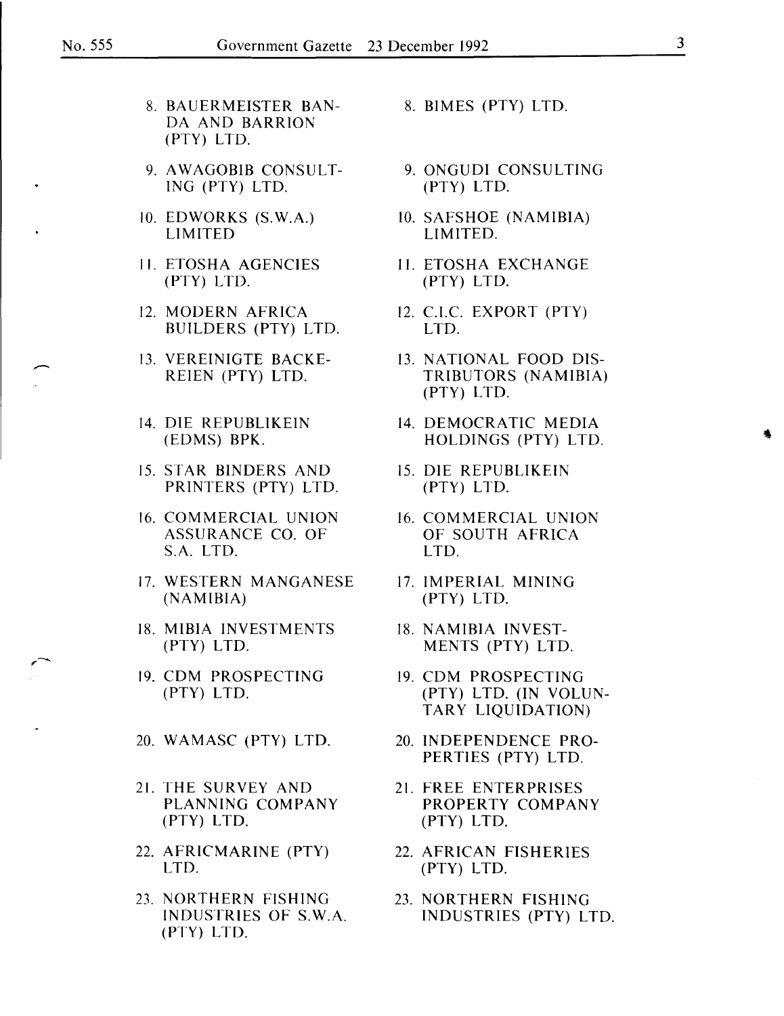,-

- 8. BAUERMEISTER BAN- 8. BIMES (PTY) LTD. DA AND BARRION (PTY) LTD.
- 9. AWAGOBIB CONSULT-<br>ING (PTY) LTD. (PTY) LTD. (PTY) LTD. lNG (PTY) LTD. (PTY) LTD.
- 
- 
- 12. MODERN AFRICA 12. C.I.C. EXPORT (PTY)<br>BUILDERS (PTY) LTD. LTD. BUILDERS (PTY) LTD.
- 
- 
- 15. STAR BINDERS AND 15. DIE REPUBLIKEIN PRINTERS (PTY) LTD. (PTY) LTD.
- 16. COMMERCIAL UNION 16. COMMERCIAL UNION<br>ASSURANCE CO. OF 60UTH AFRICA ASSURANCE CO. OF OF SOUTH AFRICA S.A. LTD.
- 17. WESTERN MANGANESE 17. IMPERIAL MINING<br>(NAMIBIA) (PTY) LTD.
- 18. MIBIA INVESTMENTS 18. NAMIBIA INVEST-
- 19. CDM PROSPECTING 19. CDM PROSPECTING
- 20. WAMASC (PTY) LTD. 20. INDEPENDENCE PRO-
- 21. THE SURVEY AND 21. FREE ENTERPRISES<br>PLANNING COMPANY PROPERTY COMPAN (PTY) LTD. (PTY) LTD.
- 22. AFRICMARINE (PTY) 22. AFRICAN FISHERIES LTD. (PTY) LTD.
- 23. NORTHERN FISHING<br>INDUSTRIES OF S.W.A. INDUSTRIES (PTY) LT (PTY) LTD.
- 
- 
- 10. EDWORKS (S.W.A.) 10. SAFSHOE (NAMIBIA)<br>LIMITED. LIMITED. LIMITED.
- 11. ETOSHA AGENCIES 11. ETOSHA EXCHANGE<br>(PTY) LTD. (PTY) LTD. (PTY) LTD. (PTY) LTD.
	-
- 13. VEREINIGTE BACKE- 13. NATIONAL FOOD DIS- ~ TRIBUTORS (NAMIBIA) (PTY) LTD.
- 14. DIE REPUBLIKEIN 14. DEMOCRATIC MEDIA<br>(EDMS) BPK. HOLDINGS (PTY) LTD HOLDINGS (PTY) LTD.
	-
	-
	- (PTY) LTD.
	- (PTY) LTD. MENTS (PTY) LTD.
	- (PTY) LTD. (PTY) LTD. (IN VOLUN-TARY LIQUIDATION)
		- PERTIES (PTY) LTD.
		- PROPERTY COMPANY
		-
		- INDUSTRIES (PTY) LTD.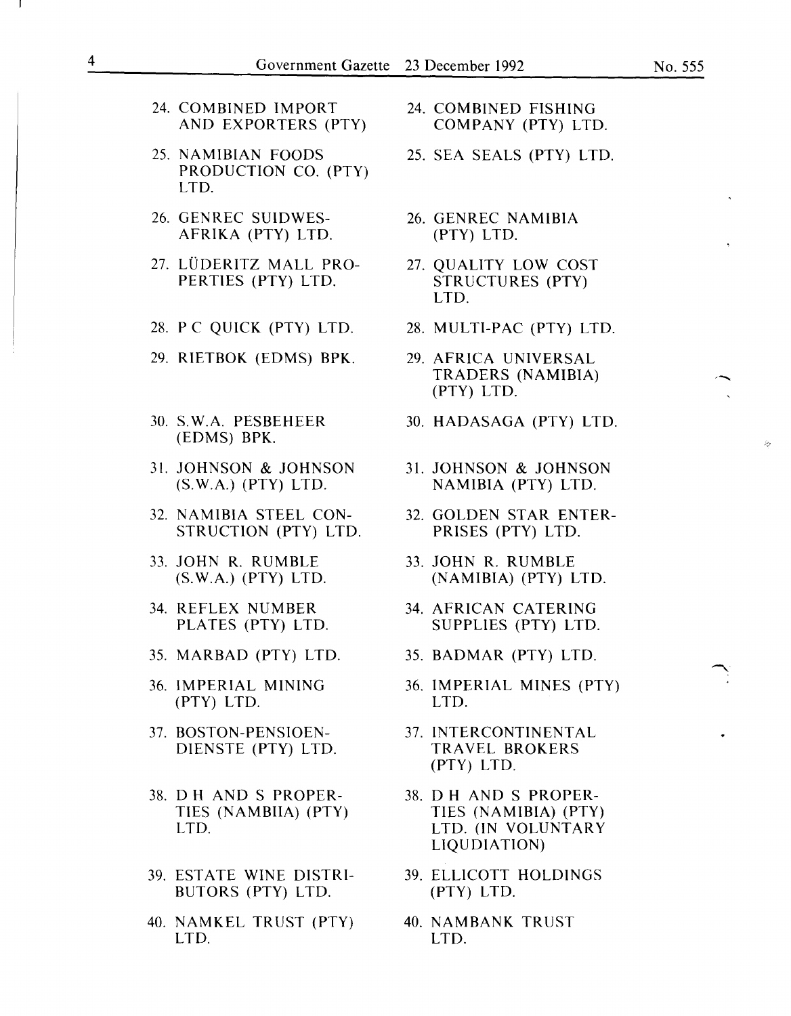- 24. COMBINED IMPORT 24. COMBINED FISHING<br>AND EXPORTERS (PTY) COMPANY (PTY) LTD. AND EXPORTERS (PTY)
- 25. NAMIBIAN FOODS 25. SEA SEALS (PTY) LTD. PRODUCTION CO. (PTY) LTD.
- 26. GENREC SUIDWES- 26. GENREC NAMIBIA AFRIKA (PTY) LTD. (PTY) LTD.
- 27. LÜDERITZ MALL PRO- 27. QUALITY LOW COST<br>PERTIES (PTY) LTD. STRUCTURES (PTY) PERTIES (PTY) LTD.
- 28. PC QUICK (PTY) LTD. 28. MULTI-PAC (PTY) LTD.
- 29. RIETBOK (EDMS) BPK. 29. AFRICA UNIVERSAL
- (EDMS) BPK.
- 31. JOHNSON & JOHNSON 31. JOHNSON & JOHNSON (S.W.A.) (PTY) LTD. NAMIBIA (PTY) LTD.
- 32. NAMIBIA STEEL CON- 32. GOLDEN STAR ENTER-STRUCTION (PTY) LTD. PRISES (PTY) LTD.
- 33. JOHN R. RUMBLE 33. JOHN R. RUMBLE<br>(S.W.A.) (PTY) LTD. (NAMIBIA) (PTY) I
- 
- 35. MARBAD (PTY) LTD. 35. BADMAR (PTY) LTD.
- (PTY) LTD. LTD.
- 
- 38. D H AND S PROPER- 38. D H AND S PROPER-
- BUTORS (PTY) LTD. (PTY) LTD.
- 40. NAMKEL TRUST (PTY) 40. NAMBANK TRUST LTD. LTD.
- 
- 
- 
- LTD.
- 
- TRADERS (NAMIBIA) (PTY) LTD.
- 30. S. W.A. PESBEHEER 30. HADASAGA (PTY) LTD.
	- NAMIBIA (PTY) LTD.
	-
	- (S. W.A.) (PTY) LTD. (NAMIBIA) (PTY) LTD.
- 34. REFLEX NUMBER 34. AFRICAN CATERING<br>PLATES (PTY) LTD. SUPPLIES (PTY) LTD SUPPLIES (PTY) LTD.
	-
- 36. IMPERIAL MINING 36. IMPERIAL MINES (PTY)
- 37. BOSTON-PENSIOEN- 37. INTERCONTINENTAL DIENSTE (PTY) LTD. TRAVEL BROKERS (PTY) LTD.
	- TIES (NAMBIIA) (PTY) TIES (NAMIBIA) (PTY) LTD. LTD. (IN VOLUNTARY LIQU DIATION)
- 39. EST ATE WINE DISTRI- 39. ELLICOTT HOLDINGS
	-

 $\blacktriangle$ .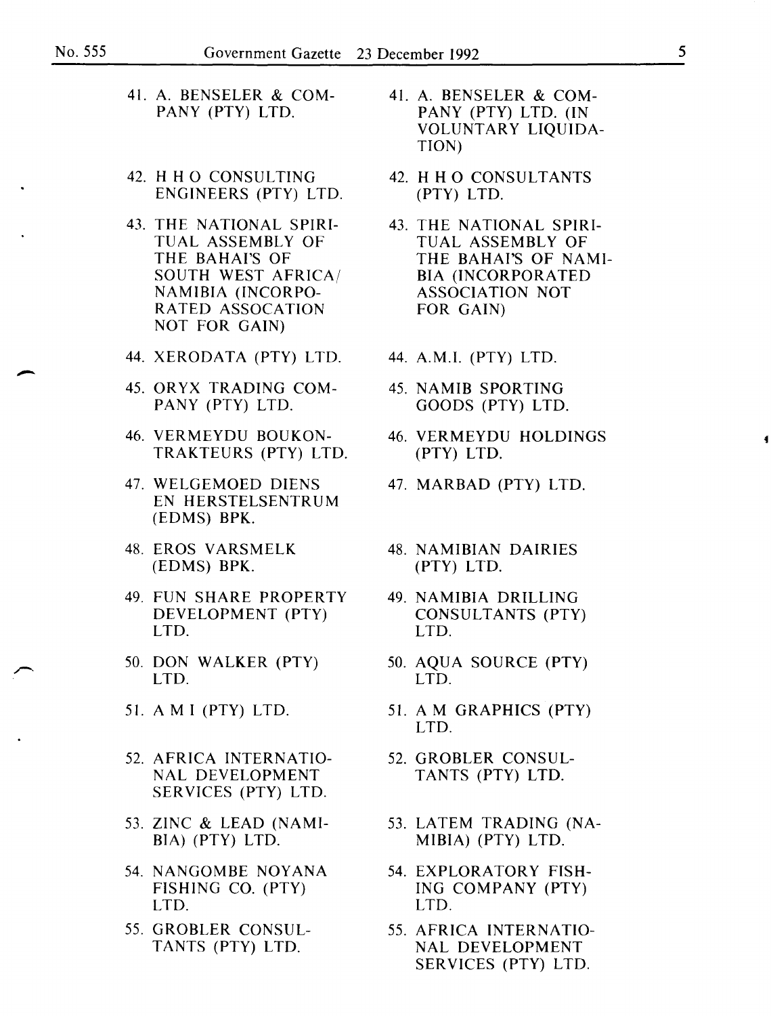- 41. A. BENSELER & COM-<br>PANY (PTY) LTD. 41. A. BENSELER & COM-<br>PANY (PTY) LTD. 11
- 42. H H 0 CONSULTING 42. H H 0 CONSULTANTS ENGINEERS (PTY) LTD. (PTY) LTD.
- 43. THE NATIONAL SPIRI-<br>TUAL ASSEMBLY OF TUAL ASSEMBLY OF SOUTH WEST AFRICA/ BIA (INCORPORATI<br>NAMIBIA (INCORPO- ASSOCIATION NOT NAMIBIA (INCORPO- ASSOCIATI)<br>RATED ASSOCATION FOR GAIN) RATED ASSOCATION NOT FOR GAIN)
- 44. XERODATA (PTY) LTD. 44. A.M.I. (PTY) LTD.
- 45. ORYX TRADING COM- 45. NAMIB SPORTING PANY (PTY) LTD. GOODS (PTY) LTD.
- 46. VERMEYDU BOUKON- 46. VERMEYDU HOLDINGS TRAKTEURS (PTY) LTD. (PTY) LTD.
- 47. WELGEMOED DIENS 47. MARBAD (PTY) LTD. EN HERSTELSENTRUM (EDMS) BPK.
- 48. EROS V ARSMELK 48. NAMIBIAN DAIRIES (EDMS) BPK. (PTY) LTD.
- 49. FUN SHARE PROPERTY 49. NAMIBIA DRILLING
- 50. DON WALKER (PTY) 50. AQUA SOURCE (PTY)<br>LTD. LTD.
- 
- 52. AFRICA INTERNATIO- 52. GROBLER CONSUL-NAL DEVELOPMENT TANTS (PTY) LTD. SERVICES (PTY) LTD.
- 53. ZINC & LEAD (NAMI- 53. LATEM TRADING (NA-BIA) (PTY) LTD. MIBIA) (PTY) LTD.
- 54. NANGOMBE NOYANA 54. EXPLORATORY FISH-LTD. LTD.
- 55. GROBLER CONSUL- 55. AFRICA INTERNATIO-
- PANY (PTY) LTD. (IN VOLUNTARY LIQUIDA-TION)
- 
- TUAL ASSEMBLY OF TUAL ASSEMBLY OF<br>THE BAHAI'S OF THE BAHAI'S OF NA THE BAHAI'S OF NAMI-<br>BIA (INCORPORATED
	-
	-
	-
	-
	-
- DEVELOPMENT (PTY) CONSULTANTS (PTY)<br>LTD. LTD. LTD. LTD.
	- LTD. LTD.
- 51. A M I (PTY) LTD. 51. A M GRAPHICS (PTY) LTD.
	-
	-
	- FISHING CO. (PTY) lNG COMPANY (PTY)
	- TANTS (PTY) LTD. NAL DEVELOPMENT SERVICES (PTY) LTD.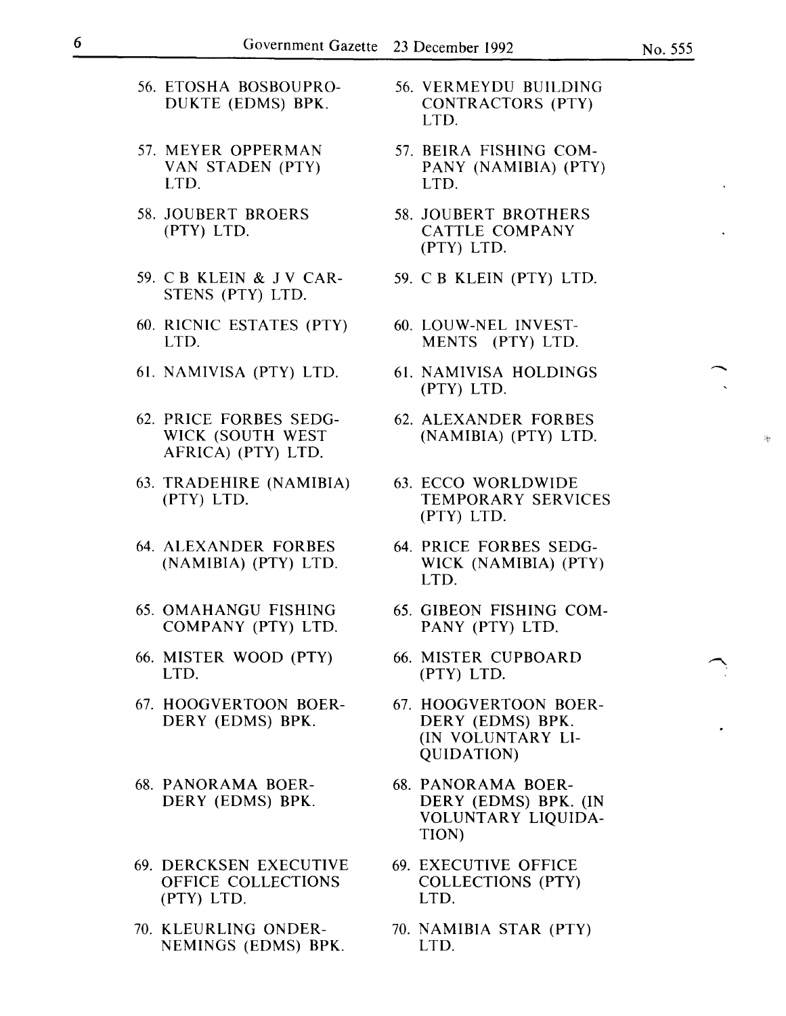- 56. ETOSHA BOSBOUPRO-DUKTE (EDMS) BPK.
- 57. MEYER OPPERMAN VAN STADEN (PTY) LTD.
- 58. JOUBERT BROERS (PTY) LTD.
- 59. C B KLEIN & J V CAR-STENS (PTY) LTD.
- 60. RICNIC ESTATES (PTY) LTD.
- 61. NAMIVISA (PTY) LTD.
- 62. PRICE FORBES SEDG-WICK (SOUTH WEST AFRICA) (PTY) LTD.
- 63. TRADEHIRE (NAMIBIA) (PTY) LTD.
- 64. ALEXANDER FORBES (NAMIBIA) (PTY) LTD.
- 65. OMAHANGU FISHING COMPANY (PTY) LTD.
- 66. MISTER WOOD (PTY) LTD.
- 67. HOOGVERTOON BOER-DERY (EDMS) BPK.
- 68. PANORAMA BOER-DERY (EDMS) BPK.
- 69. DERCKSEN EXECUTIVE OFFICE COLLECTIONS (PTY) LTD.
- 70. KLEURLING ONDER-NEMINGS (EDMS) BPK.
- 56. VERMEYDU BUILDING CONTRACTORS (PTY) LTD.
- 57. BEIRA FISHING COM-PANY (NAMIBIA) (PTY) LTD.
- 58. JOUBERT BROTHERS CATTLE COMPANY (PTY) LTD.
- 59. C B KLEIN (PTY) LTD.
- 60. LOUW-NEL INVEST-MENTS (PTY) LTD.
- 61. NAMIVISA HOLDINGS (PTY) LTD.
- 62. ALEXANDER FORBES (NAMIBIA) (PTY) LTD.
- 63. ECCO WORLDWIDE TEMPORARY SERVICES (PTY) LTD.
- 64. PRICE FORBES SEDG-WICK (NAMIBIA) (PTY) LTD.
- 65. GIBEON FISHING COM-PANY (PTY) LTD.
- 66. MISTER CUPBOARD (PTY) LTD.
- 67. HOOGVERTOON BOER-DERY (EDMS) BPK. (IN VOLUNTARY LI-QUIDATION)
- 68. PANORAMA BOER-DERY (EDMS) BPK. (IN VOLUNTARY LIQUIDA-TION)
- 69. EXECUTIVE OFFICE COLLECTIONS (PTY) LTD.
- 70. NAMIBIA STAR (PTY) LTD.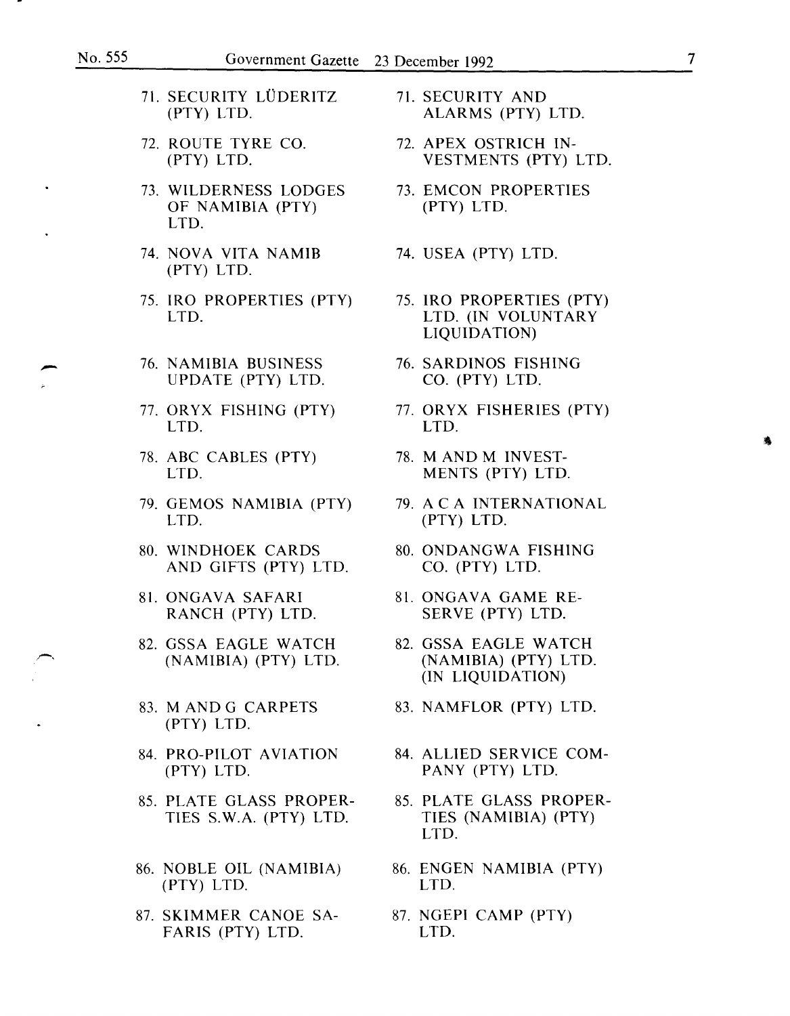- 71. SECURITY LÜDERITZ 71. SECURITY AND (PTY) LTD. ALARMS (PTY)
- 72. ROUTE TYRE CO. 72. APEX OSTRICH IN-
- 73. WILDERNESS LODGES 73. EMCON PROPERTIES<br>OF NAMIBIA (PTY) 73. EMCON PROPERTIES OF NAMIBIA (PTY) LTD.
- 74. NOVA VITA NAMIB 74. USEA {PTY) LTD. (PTY) LTD.
- 75. IRO PROPERTIES (PTY) 75. IRO PROPERTIES (PTY)<br>LTD. (IN VOLUNTARY
- <sup>21</sup>/<sub>2</sub> (1995)<br>76. NAMIBIA BUSINESS 76. SARDINOS FISHING<br>76. CO. (PTY) LTD. UPDATE (PTY) LTD. CO. (PTY) LTD.
	- LTD. LTD.
	- 78. ABC CABLES (PTY) 78. M AND M INVEST-
	- 79. GEMOS NAMIBIA (PTY) 79. A C A INTERNATIONAL<br>LTD. (PTY) LTD.
	- 80. WINDHOEK CARDS 80. ONDANGWA FISHING<br>AND GIFTS (PTY) LTD. CO. (PTY) LTD. AND GIFTS (PTY) LTD.
	- RANCH (PTY) LTD.
	- 82. GSSA EAGLE WATCH 82. GSSA EAGLE WATCH
	- (PTY) LTD.
	- (PTY) LTD. PANY (PTY) LTD.
	- 85. PLATE GLASS PROPER- 85. PLATE GLASS PROPER-
	- 86. NOBLE OIL (NAMIBIA) 86. ENGEN NAMIBIA (PTY) (PTY) LTD. LTD.
	- 87. SKIMMER CANOE SA- 87. NGEPI CAMP (PTY) FARIS (PTY) LTD. LTD.
- (PTY) LTD. ALARMS (PTY) LTD.
- (PTY) LTD. VESTMENTS (PTY) LTD.
- 
- 
- LTD. LTD. (IN VOLUNTARY LIQUIDATION)
- 
- 77. ORYX FISHING (PTY) 77. ORYX FISHERIES (PTY)
	- LTD. MENTS (PTY) LTD.
		- LTD. (PTY) LTD.
		-
- 81. ONGAVA SAFARI 81. ONGAVA GAME RE-<br>RANCH (PTY) LTD. SERVE (PTY) LTD.
	- (NAMIBIA) (PTY) LTD. (NAMIBIA) (PTY) LTD. (IN LIQUIDATION)
- 83. M AND G CARPETS 83. NAMFLOR (PTY) LTD.
- 84. PRO-PILOT AVIATION 84. ALLIED SERVICE COM-
	- TIES S. W.A. (PTY) LTD. TIES (NAMIBIA) (PTY) LTD.
		-
		-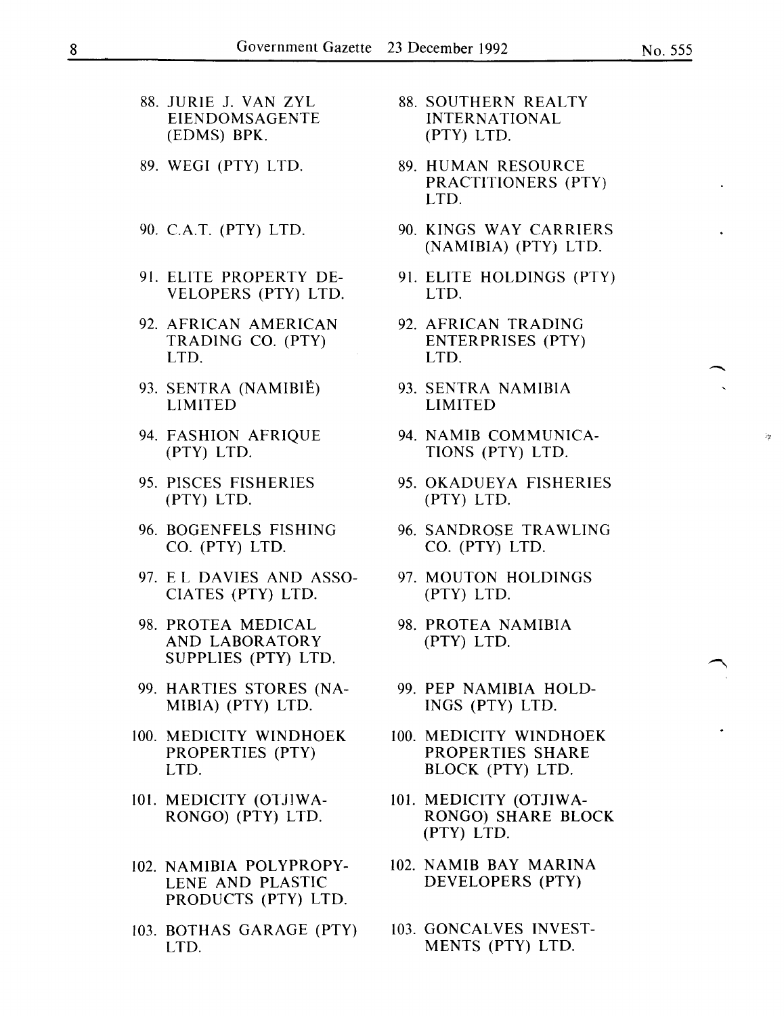- 88. JURIE J. VAN ZYL 88. SOUTHERN REALTY<br>EIENDOMSAGENTE MITERNATIONAL EIENDOMSAGENTE INTERNATI<br>(EDMS) BPK. (PTY) LTD.  $(EDMS)$  BPK.
- 89. WEGI (PTY) LTD. 89. HUMAN RESOURCE
- 
- VELOPERS (PTY) LTD.
- 92. AFRICAN AMERICAN 92. AFRICAN TRADING<br>TRADING CO. (PTY) ENTERPRISES (PTY) LTD. LTD.
- 93. SENTRA (NAMIBIË) 93. SENTRA NAMIBIA<br>LIMITED LIMITED
- 
- (PTY) LTD. (PTY) LTD.
- 
- 97. E L DAVIES AND ASSO- 97. MOUTON HOLDINGS CIATES (PTY) LTD. (PTY) LTD.
- 98. PROTEA MEDICAL 98. PROTEA NAMIBIA AND LABORATORY (PTY) LTD. SUPPLIES (PTY) LTD.
- 99. HARTIES STORES (NA- 99. PEP NAMIBIA HOLD-MIBIA) (PTY) LTD. INGS (PTY) LTD.
- LTD. BLOCK (PTY) LTD.
- 101. MEDICITY (OTJIWA- 101. MEDICITY (OTJIWA-
- 102. NAMIBIA POLYPROPY- 102. NAMIB BAY MARINA PRODUCTS (PTY) LTD.
- 103. BOTHAS GARAGE (PTY) 103. GONCALVES INVEST-LTD. MENTS (PTY) LTD.
- 
- PRACTITIONERS (PTY) LTD.
- 90. C.A.T. (PTY) LTD. 90. KINGS WAY CARRIERS (NAMIBIA) (PTY) LTD.
- 91. ELITE PROPERTY DE-<br>VELOPERS (PTY) LTD. LTD. LTD.
	- ENTERPRISES (PTY)
	- **LIMITED**
- 94. FASHION AFRIQUE 94. NAMIB COMMUNICA-(PTY) LTD. TIONS (PTY) LTD.
- 95. PISCES FISHERIES 95. OKADUEYA FISHERIES
- 96. BOGENFELS FISHING 96. SANDROSE TRAWLING<br>CO. (PTY) LTD. 60. (PTY) LTD. CO. (PTY) LTD.
	-
	-
	-
- 100. MEDICITY WINDHOEK 100. MEDICITY WINDHOEK PROPERTIES (PTY) PROPERTIES SHARE
	- RONGO) (PTY) LTD. RONGO) SHARE BLOCK (PTY) LTD.
	- LENE AND PLASTIC DEVELOPERS (PTY)
		-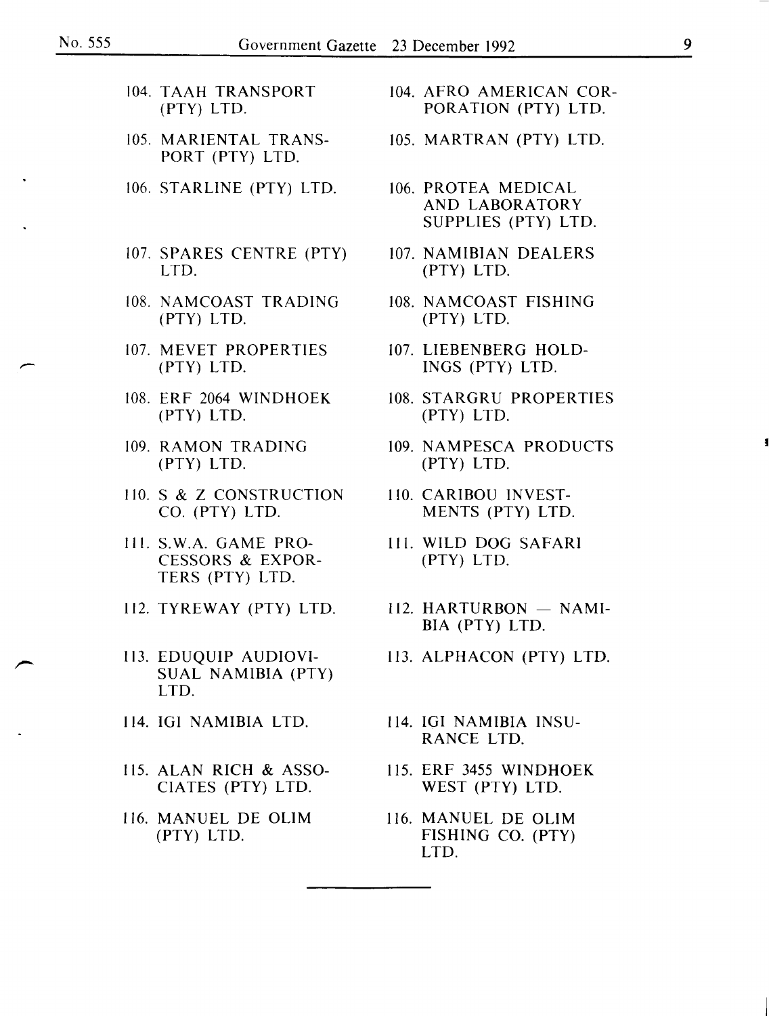- 
- 105. MARIENTAL TRANS- 105. MARTRAN (PTY) LTD. PORT (PTY) LTD.
- 106. STARLINE (PTY) LTD. 106. PROTEA MEDICAL
- 107. SPARES CENTRE (PTY) 107. NAMIBIAN DEALERS LTD. (PTY) LTD.
- 108. NAMCOAST TRADING 108. NAMCOAST FISHING (PTY) LTD. (PTY) LTD.
- 107. MEVET PROPERTIES 107. LIEBENBERG HOLD-(PTY) LTD. INGS (PTY) LTD.
- (PTY) LTD. (PTY) LTD.
- 
- 110. S & Z CONSTRUCTION 110. CARIBOU INVEST-<br>CO. (PTY) LTD. MENTS (PTY) LTD
- Ill. S.W.A. GAME PRO- Ill. WILD DOG SAFARI CESSORS & EXPOR- (PTY) LTD. TERS (PTY) LTD.
- 
- 113. EDUQUIP AUDIOVI- 113. ALPHACON (PTY) LTD. SUAL NAMIBIA (PTY) LTD.
- 
- 115. ALAN RICH & ASSO- 115. ERF 3455 WINDHOEK
- 116. MANUEL DE OLIM 116. MANUEL DE OLIM
- 104. TAAH TRANSPORT 104. AFRO AMERICAN COR-<br>PORATION (PTY) LTD. PORATION (PTY) LTD.
	-
	- AND LABORATORY SUPPLIES (PTY) LTD.
	-
	-
	-
- 108. ERF 2064 WINDHOEK 108. STARGRU PROPERTIES
- 109. RAMON TRADING 109. NAMPESCA PRODUCTS<br>
(PTY) LTD. (PTY) LTD. (PTY) LTD. (PTY) LTD.
	- MENTS (PTY) LTD.
	-
- 112. TYREWAY (PTY) LTD. 112. HARTURBON  $-$  NAMI-BIA (PTY) LTD.
	-
- 114. IGI NAMIBIA LTD. 114. IGI NAMIBIA INSU-RANCE LTD.
	- CIATES (PTY) LTD. WEST (PTY) LTD.
	- (PTY) LTD. FISHING CO. (PTY) LTD.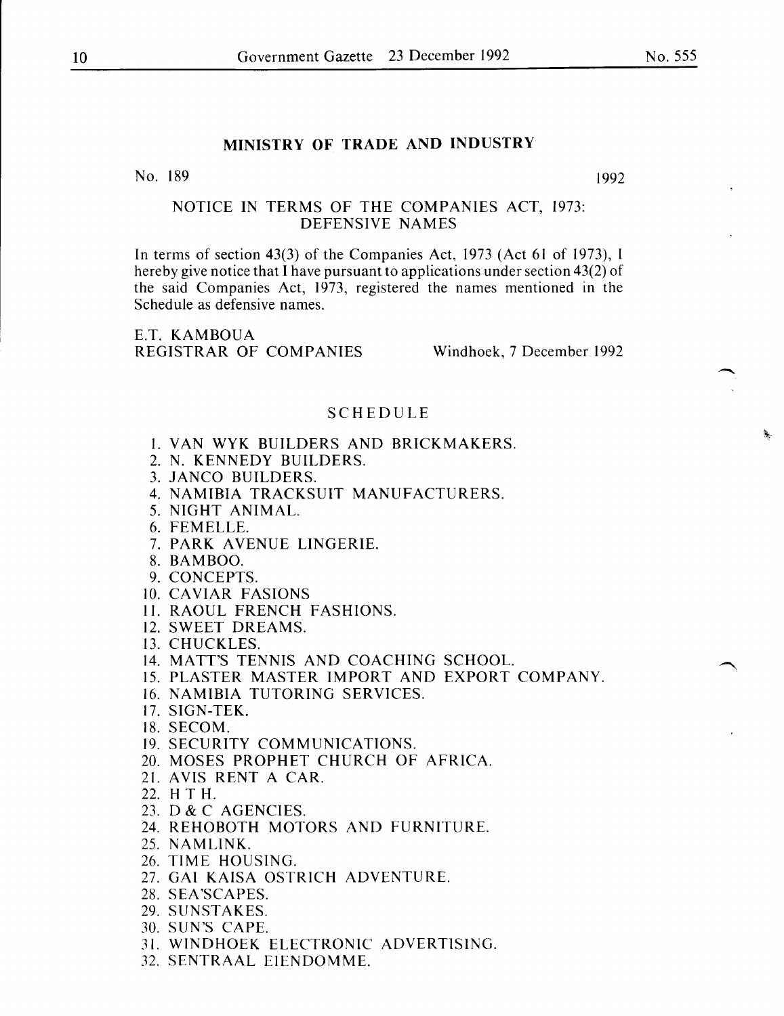### **MINISTRY OF TRADE AND INDUSTRY**

No. 189 1992

#### NOTICE IN TERMS OF THE COMPANIES ACT, 1973: DEFENSIVE NAMES

In terms of section 43(3) of the Companies Act, 1973 (Act 61 of 1973), I hereby give notice that I have pursuant to applications under section 43(2) of the said Companies Act, 1973, registered the names mentioned in the Schedule as defensive names.

E.T. KAMBOUA REGISTRAR OF COMPANIES Windhoek, 7 December 1992

#### SCHEDULE

- I. VAN WYK BUILDERS AND BRICK MAKERS.
- 2. N. KENNEDY BUILDERS.
- 3. JANCO BUILDERS.
- 4. NAMIBIA TRACKSUIT MANUFACTURERS.
- 5. NIGHT ANIMAL.
- 6. FEMELLE.
- 7. PARK AVENUE LINGERIE.
- 8. BAMBOO.
- 9. CONCEPTS.
- 10. CAVIAR FASIONS
- II. RAOUL FRENCH FASHIONS.
- 12. SWEET DREAMS.
- 13. CHUCKLES.
- 14. MATT'S TENNIS AND COACHING SCHOOL.
- 15. PLASTER MASTER IMPORT AND EXPORT COMPANY.
- 16. NAMIBIA TUTORING SERVICES.
- 17. SIGN-TEK.
- 18. SECOM.
- 19. SECURITY COMMUNICATIONS.
- 20. MOSES PROPHET CHURCH OF AFRICA.
- 21. AVIS RENT A CAR.
- 22. **H T H.**
- 23. D & C AGENCIES.
- 24. REHOBOTH MOTORS AND FURNITURE.
- 25. NAMLINK.
- 26. TIME HOUSING.
- 27. GAl KAISA OSTRICH ADVENTURE.
- 28. SEA'SCAPES.
- 29. SUNSTAKES.
- 30. SUN'S CAPE.
- 31. WINDHOEK ELECTRONIC ADVERTISING.
- 32. SENTRAAL EIENDOMME.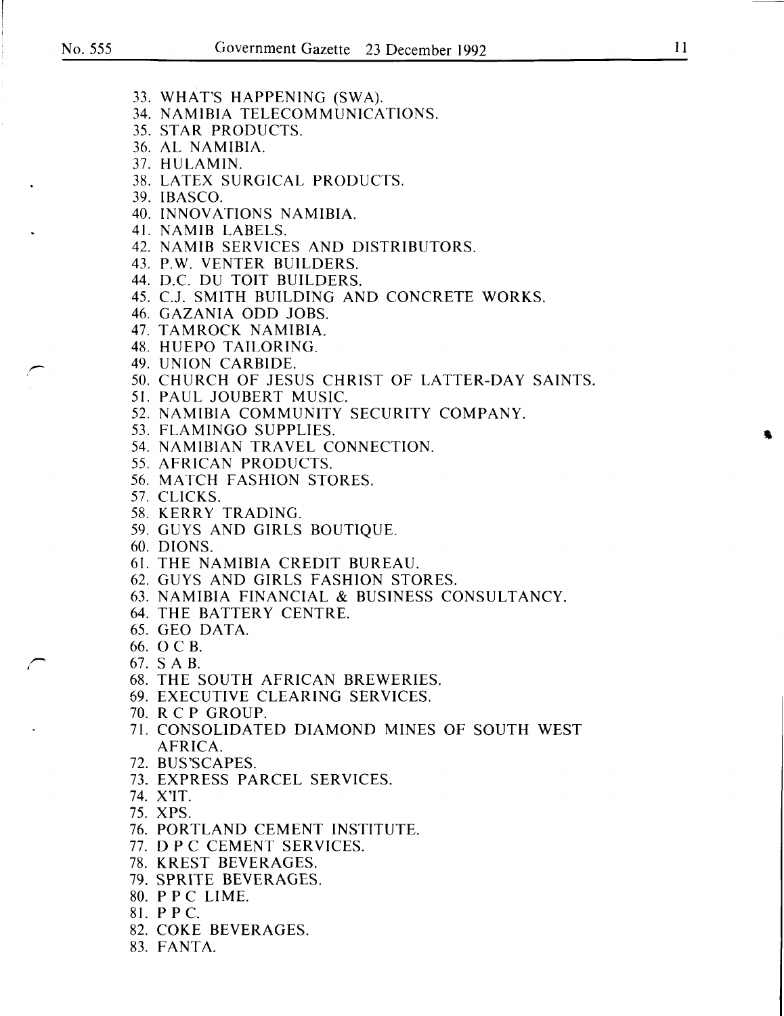- 33. WHAT'S HAPPENING (SWA).
- 34. NAMIBIA TELECOMMUNICATIONS.
- 35. STAR PRODUCTS.
- 36. AL NAMIBIA.
- 37. HULAMIN.
- 38. LATEX SURGICAL PRODUCTS.
- 39. IBASCO.
- 40. INNOVATIONS NAMIBIA.
- 41. NAMIB LABELS.
- 42. NAMIB SERVICES AND DISTRIBUTORS.
- 43. P.W. VENTER BUILDERS.
- 44. D.C. DU TOIT BUILDERS.
- 45. C.J. SMITH BUILDING AND CONCRETE WORKS.
- 46. GAZANIA ODD JOBS.
- 47. TAMROCK NAMIBIA.
- 48. HUEPO TAILORING.
- 49. UNION CARBIDE.
- 50. CHURCH OF JESUS CHRIST OF LATTER-DAY SAINTS.
- 51. PAUL JOUBERT MUSIC.
- 52. NAMIBIA COMMUNITY SECURITY COMPANY.
- 53. FLAMINGO SUPPLIES.
- 54. NAMIBIAN TRAVEL CONNECTION.
- 55. AFRICAN PRODUCTS.
- 56. MATCH FASHION STORES.
- 57. CLICKS.
- 58. KERRY TRADING.
- 59. GUYS AND GIRLS BOUTIQUE.
- 60. DIONS.
- 61. THE NAMIBIA CREDIT BUREAU.
- 62. GUYS AND GIRLS FASHION STORES.
- 63. NAMIBIA FINANCIAL & BUSINESS CONSULTANCY.
- 64. THE BATTERY CENTRE.
- 65. GEO DATA.
- 66. 0 C B.
- 67. SA B.
- 68. THE SOUTH AFRICAN BREWERIES.
- 69. EXECUTIVE CLEARING SERVICES.
- 70. R C P GROUP.
- 71. CONSOLIDATED DIAMOND MINES OF SOUTH WEST AFRICA.
- 72. BUS'SCAPES.
- 73. EXPRESS PARCEL SERVICES.
- 74. X'IT.
- 75. XPS.
- 76. PORTLAND CEMENT INSTITUTE.
- 77. D PC CEMENT SERVICES.
- 78. KREST BEVERAGES.
- 79. SPRITE BEVERAGES.
- 80. P PC LIME.
- 81. PPC.
- 82. COKE BEVERAGES.
- 83. FANTA.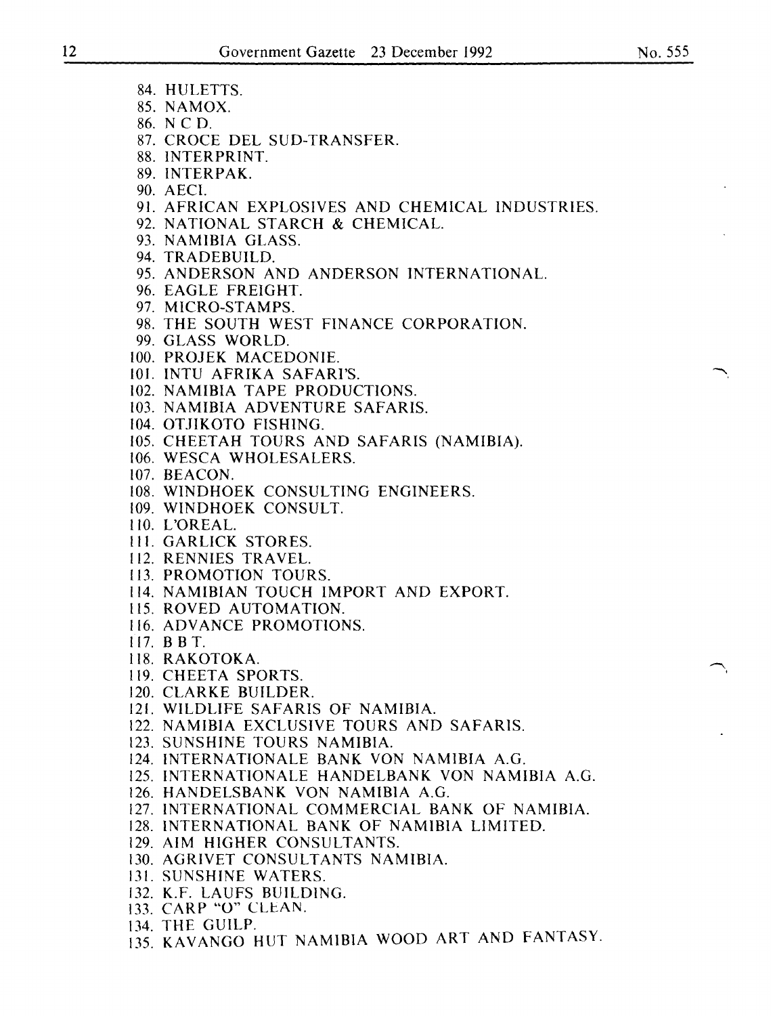- 84. HULETTS.
- 85. NAMOX.
- 86. N CD.
- 87. CROCE DEL SUD-TRANSFER.
- 88. INTERPRINT.
- 89. INTERPAK.
- 90. AECI.
- 91. AFRICAN EXPLOSIVES AND CHEMICAL INDUSTRIES.
- 92. NATIONAL STARCH & CHEMICAL.
- 93. NAMIBIA GLASS.
- 94. TRADEBUILD.
- 95. ANDERSON AND ANDERSON INTERNATIONAL.
- 96. EAGLE FREIGHT.
- 97. MICRO-STAMPS.
- 98. THE SOUTH WEST FINANCE CORPORATION.
- 99. GLASS WORLD.
- 100. PROJEK MACEDONIE.
- 101. INTU AFRIKA SAFARI'S.
- 102. NAMIBIA TAPE PRODUCTIONS.
- 103. NAMIBIA ADVENTURE SAFARIS.
- 104. OTJIKOTO FISHING.
- 105. CHEETAH TOURS AND SAFARIS (NAMIBIA).
- 106. WESCA WHOLESALERS.
- 107. BEACON.
- 108. WINDHOEK CONSULTING ENGINEERS.
- I09. WINDHOEK CONSULT.
- 110. L'OREAL.
- Ill. GARLICK STORES.
- II2. RENNIES TRAVEL.
- 113. PROMOTION TOURS.
- 114. NAMIBIAN TOUCH IMPORT AND EXPORT.
- 115. ROVED AUTOMATION.
- 116. ADVANCE PROMOTIONS.
- 117. BBT.
- 118. RAKOTOKA.
- 119. CHEETA SPORTS.
- 120. CLARKE BUILDER.
- 121. WILDLIFE SAFARIS OF NAMIBIA.
- 122. NAMIBIA EXCLUSIVE TOURS AND SAFARIS.
- 123. SUNSHINE TOURS NAMIBIA.
- 124. INTERNATIONALE BANK VON NAMIBIA A.G.
- 125. INTERNATIONALE HANDELBANK VON NAMIBIA A.G.
- 126. HANDELSBANK VON NAMIBIA A.G.
- 127. INTERNATIONAL COMMERCIAL BANK OF NAMIBIA.
- 128. INTERNATIONAL BANK OF NAMIBIA LIMITED.
- 129. AIM HIGHER CONSULTANTS.
- 130. AGRIVET CONSULTANTS NAMIBIA.
- 131. SUNSHINE WATERS.
- 132. K.F. LAUFS BUILDING.
- 133. CARP "O" CLEAN.
- 134. THE GUILP.
- 135. KAVANGO HUT NAMIBIA WOOD ART AND FANTASY.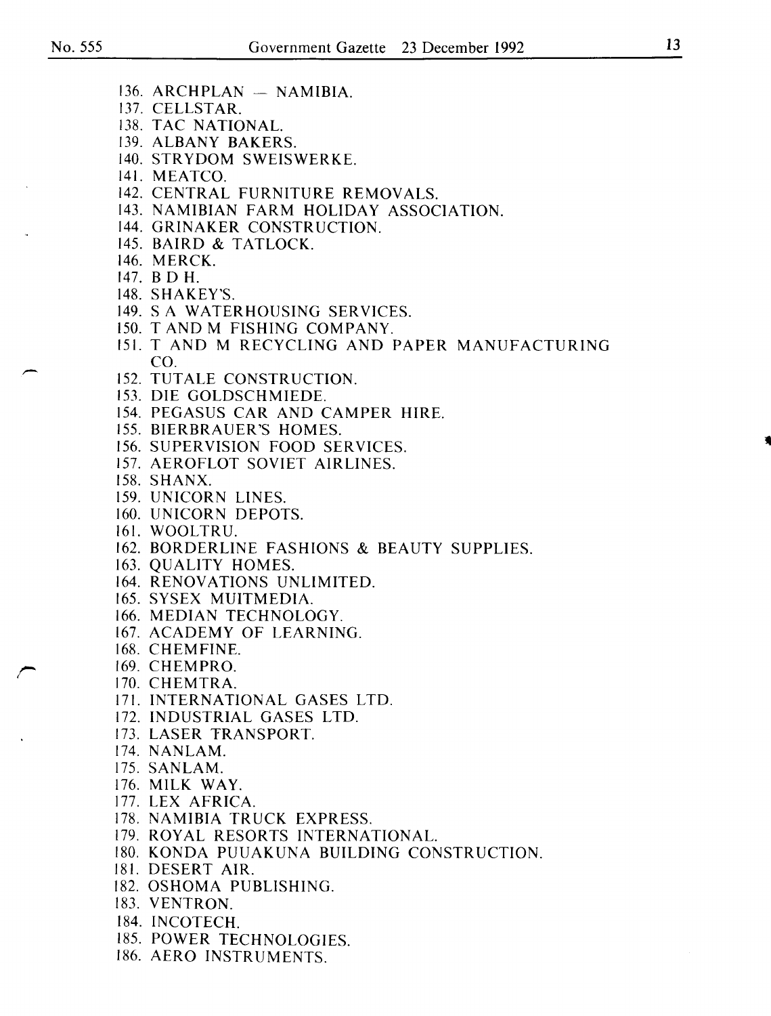- $136.$  ARCHPLAN  $-$  NAMIBIA.
- 137. CELLSTAR.
- 138. TAC NATIONAL.
- 139. ALBANY BAKERS.
- 140. STR YDOM SWEISWERKE.
- 141. MEATCO.
- 142. CENTRAL FURNITURE REMOVALS.
- 143. NAMIBIAN FARM HOLIDAY ASSOCIATION.
- 144. GRINAKER CONSTRUCTION.
- 145. BAIRD & TATLOCK.
- 146. MERCK.
- 147. B D H.
- 148. SHAKEY'S.
- 149. S A WATERHOUSING SERVICES.
- 150. T AND M FISHING COMPANY.
- 151. T AND M RECYCLING AND PAPER MANUFACTURING CO.
- 152. TUTALE CONSTRUCTION.
- 153. DIE GOLDSCHMIEDE.
- 154. PEGASUS CAR AND CAMPER HIRE.
- 155. BIERBRAUER'S HOMES.
- 156. SUPERVISION FOOD SERVICES.
- 157. AEROFLOT SOVIET AIRLINES.
- 158. SHANX.
- 159. UNICORN LINES.
- 160. UNICORN DEPOTS.
- 161. WOOLTRU.
- 162. BORDERLINE FASHIONS & BEAUTY SUPPLIES.
- 163. QUALITY HOMES.
- 164. RENOVATIONS UNLIMITED.
- 165. SYSEX MUITMEDIA.
- 166. MEDIAN TECHNOLOGY.
- 167. ACADEMY OF LEARNING.
- 168. CHEMFINE.
- 169. CHEMPRO.
- 170. CHEMTRA.
- 171. INTERNATIONAL GASES LTD.
- 172. INDUSTRIAL GASES LTD.
- 173. LASER TRANSPORT.
- 174. NANLAM.
- 175. SANLAM.
- 176. MILK WAY.
- 177. LEX AFRICA.
- 178. NAMIBIA TRUCK EXPRESS.
- 179. ROYAL RESORTS INTERNATIONAL.
- 180. KONDA PUUAKUNA BUILDING CONSTRUCTION.
- 181. DESERT AIR.
- 182. OSHOMA PUBLISHING.
- 183. VENTRON.
- 184. INCOTECH.
- 185. POWER TECHNOLOGIES.
- 186. AERO INSTRUMENTS.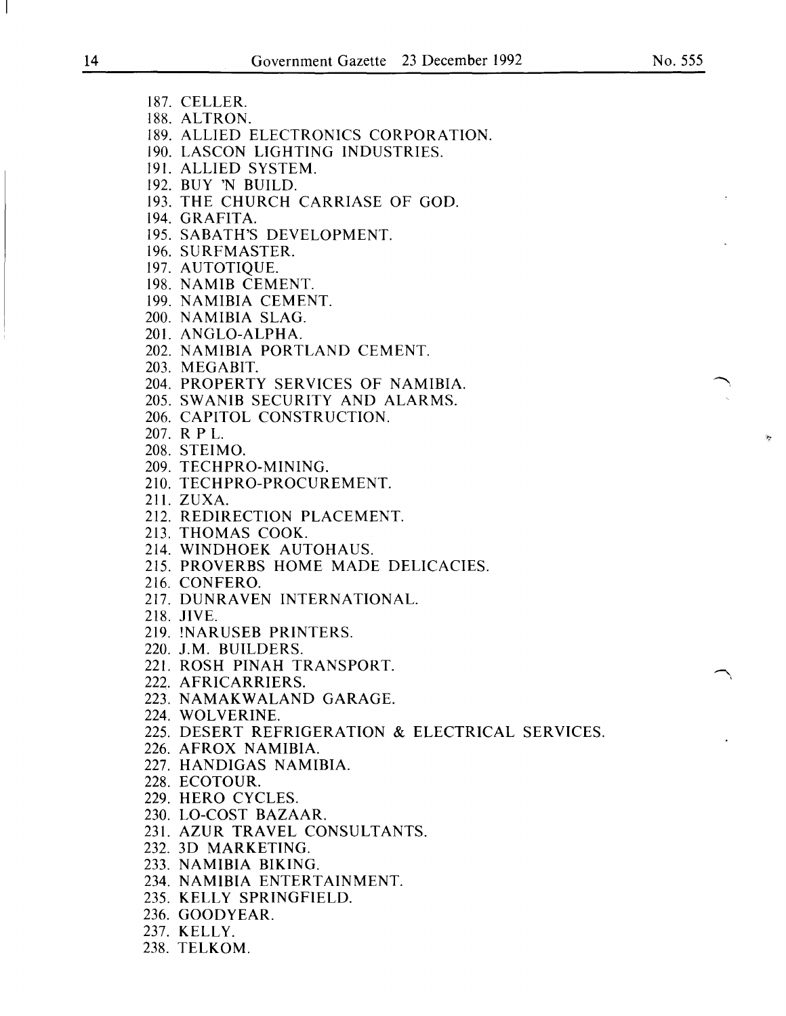187. CELLER. 188. ALTRON. 189. ALLIED ELECTRONICS CORPORATION. 190. LASCON LIGHTING INDUSTRIES. 191. ALLIED SYSTEM. 192. BUY 'N BUILD. 193. THE CHURCH CARRIASE OF GOD. 194. GRAFITA. 195. SABATH'S DEVELOPMENT. 196. SURFMASTER. 197. AUTOTIQUE. 198. NAMIB CEMENT. 199. NAMIBIA CEMENT. 200. NAMIBIA SLAG. 201. ANGLO-ALPHA. 202. NAMIBIA PORTLAND CEMENT. 203. MEGABIT. 204. PROPERTY SERVICES OF NAMIBIA. 205. SW ANIB SECURITY AND ALARMS. 206. CAPITOL CONSTRUCTION. 207. R PL. 208. STEIMO. 209. TECHPRO-MINING. 210. TECHPRO-PROCUREMENT. 211. ZUXA. 212. REDIRECTION PLACEMENT. 213. THOMAS COOK. 214. WINDHOEK AUTOHAUS. 215. PROVERBS HOME MADE DELICACIES. 216. CONFERO. 217. DUNRAVEN INTERNATIONAL. 218. JIVE. 219. !NARUSEB PRINTERS. 220. J.M. BUILDERS. 221. ROSH PINAH TRANSPORT. 222. AFRICARRIERS. 223. NAMAKWALAND GARAGE. 224. WOLVERINE. 225. DESERT REFRIGERATION & ELECTRICAL SERVICES. 226. AFROX NAMIBIA. 227. HANDIGAS NAMIBIA. 228. ECOTOUR. 229. HERO CYCLES. 230. LO-COST BAZAAR. 231. AZUR TRAVEL CONSULTANTS. 232. 3D MARKETING. 233. NAMIBIA BIKING. 234. NAMIBIA ENTERTAINMENT. 235. KELLY SPRINGFIELD. 236. GOODYEAR. 237. KELLY.

238. TELKOM.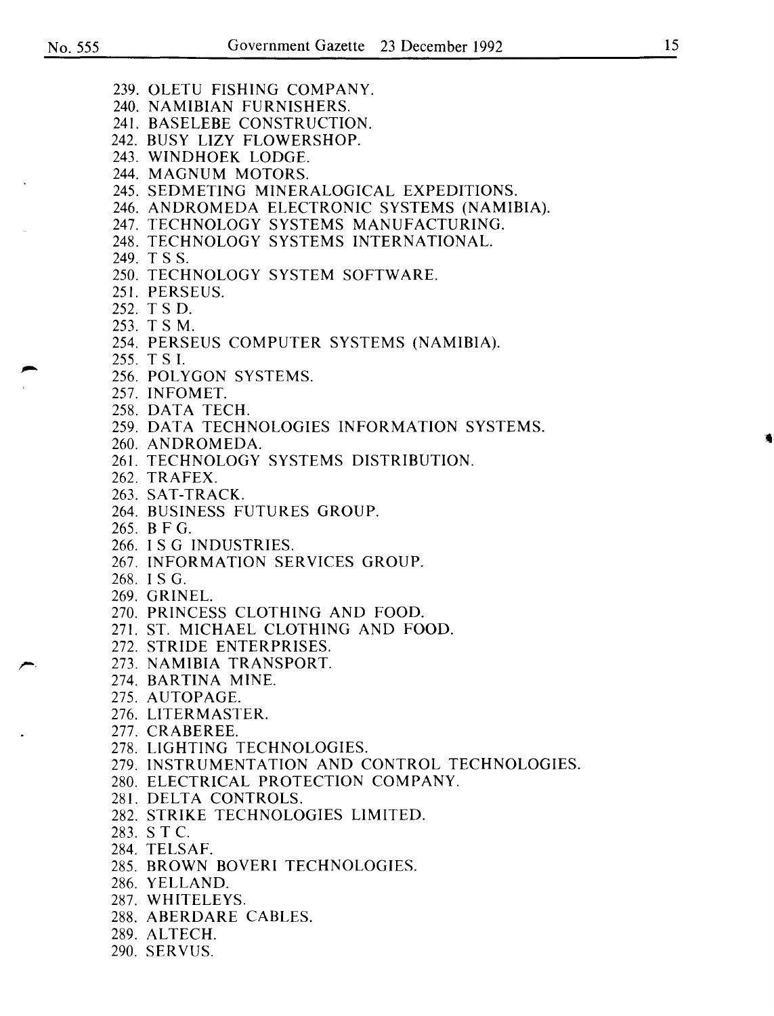239. OLETU FISHING COMPANY. 240. NAMIBIAN FURNISHERS. 241. BASELEBE CONSTRUCTION. 242. BUSY LIZY FLOWERSHOP. 243. WINDHOEK LODGE. 244. MAGNUM MOTORS. 245. SEDMETING MINERALOGICAL EXPEDITIONS. 246. ANDROMEDA ELECTRONIC SYSTEMS (NAMIBIA). 247. TECHNOLOGY SYSTEMS MANUFACTURING. 248. TECHNOLOGY SYSTEMS INTERNATIONAL. 249. T S S. 250. TECHNOLOGY SYSTEM SOFTWARE. 251. PERSEUS. 252. T S D. 253. T SM. 254. PERSEUS COMPUTER SYSTEMS (NAMIBIA). 255. T S I. 256. POLYGON SYSTEMS. 257. INFOMET. 258. DATA TECH. 259. DATA TECHNOLOGIES INFORMATION SYSTEMS. 260. ANDROMEDA. 261. TECHNOLOGY SYSTEMS DISTRIBUTION. 262. TRAFEX. 263. SAT-TRACK. 264. BUSINESS FUTURES GROUP. 265. B F G. 266. I S G INDUSTRIES. 267. INFORMATION SERVICES GROUP. 268. IS G. 269. GRINEL. 270. PRINCESS CLOTHING AND FOOD. 271. ST. MICHAEL CLOTHING AND FOOD. 272. STRIDE ENTERPRISES. 273. NAMIBIA TRANSPORT. 274. BARTINA MINE. 275. AUTOPAGE. 276. LITERMASTER. 277. CRABEREE. 278. LIGHTING TECHNOLOGIES. 279. INSTRUMENTATION AND CONTROL TECHNOLOGIES. 280. ELECTRICAL PROTECTION COMPANY. 281. DELTA CONTROLS. 282. STRIKE TECHNOLOGIES LIMITED. 283. S T C. 284. TELSAF. 285. BROWN BOVERI TECHNOLOGIES. 286. YELLAND. 287. WHITELEYS. 288. ABERDARE CABLES. 289. ALTECH. 290. SERVUS.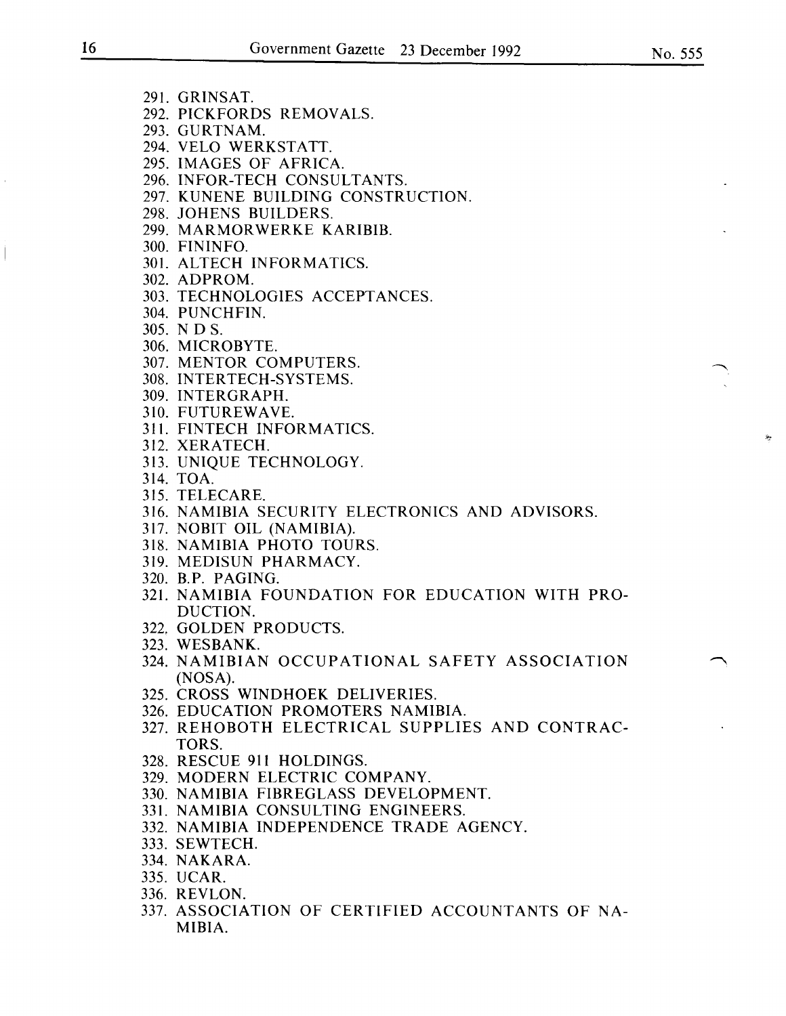- 292. PICKFORDS REMOVALS.
- 293. GURTNAM.
- 294. VELO WERKSTATT.
- 295. IMAGES OF AFRICA.
- 296. INFOR-TECH CONSULTANTS.
- 297. KUNENE BUILDING CONSTRUCTION.
- 298. JOHENS BUILDERS.
- 299. MARMOR WERKE KARIBIB.
- 300. FININFO.
- 301. ALTECH INFORMATICS.
- 302. ADPROM.
- 303. TECHNOLOGIES ACCEPTANCES.
- 304. PUNCHFIN.
- 305. N D S.
- 306. MICROBYTE.
- 307. MENTOR COMPUTERS.
- 308. INTERTECH-SYSTEMS.
- 309. INTERGRAPH.
- 310. FUTUREWAVE.
- 311. FINTECH INFORMATICS.
- 312. XERATECH.
- 313. UNIQUE TECHNOLOGY.
- 314. TOA.
- 315. TELECARE.
- 316. NAMIBIA SECURITY ELECTRONICS AND ADVISORS.
- 317. NOBIT OIL (NAMIBIA).
- 318. NAMIBIA PHOTO TOURS.
- 319. MEDISUN PHARMACY.
- 320. B.P. PAGING.
- 321. NAMIBIA FOUNDATION FOR EDUCATION WITH PRO-DUCTION.
- 322, GOLDEN PRODUCTS.
- 323. WESBANK.
- 324. NAMIBIAN OCCUPATIONAL SAFETY ASSOCIATION (NOSA).
- 325. CROSS WINDHOEK DELIVERIES.
- 326. EDUCATION PROMOTERS NAMIBIA.
- 327. REHOBOTH ELECTRICAL SUPPLIES AND CONTRAC-TORS.
- 328. RESCUE 911 HOLDINGS.
- 329. MODERN ELECTRIC COMPANY.
- 330. NAMIBIA FIBREGLASS DEVELOPMENT.
- 331. NAMIBIA CONSULTING ENGINEERS.
- 332. NAMIBIA INDEPENDENCE TRADE AGENCY.
- 333. SEWTECH.
- 334. NAKARA.
- 335. UCAR.
- 336. REVLON.
- 337. ASSOCIATION OF CERTIFIED ACCOUNTANTS OF NA-MIBIA.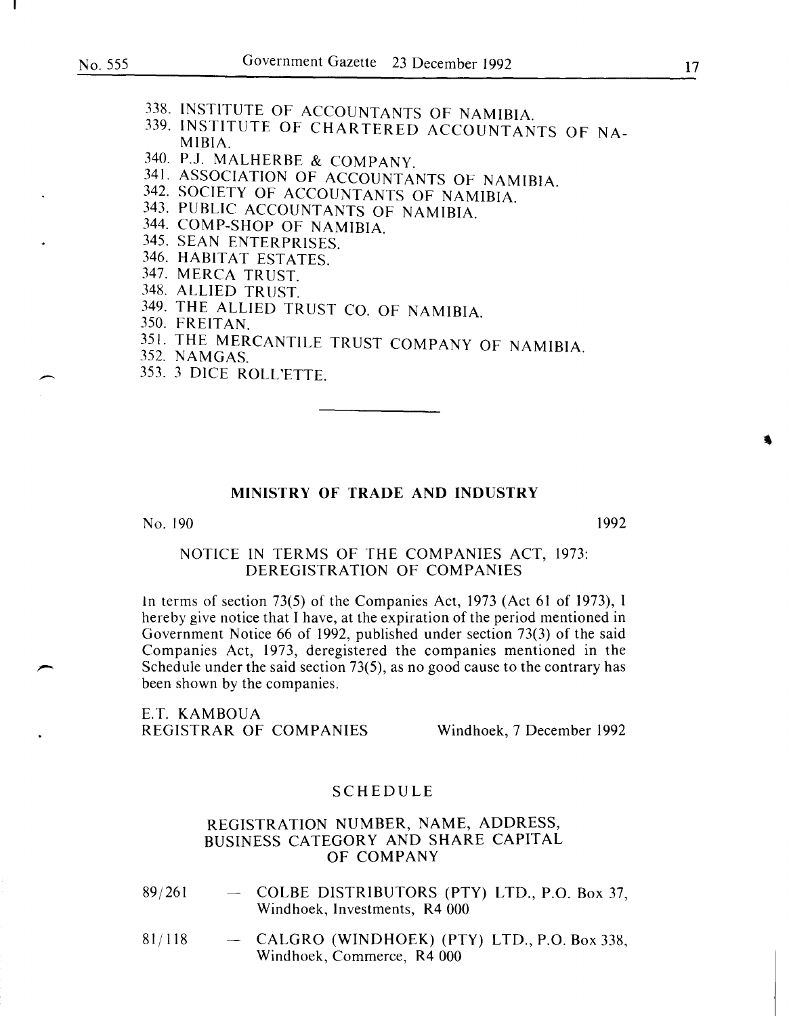- 339. INSTITUTE OF CHARTERED ACCOUNTANTS OF NA-MIBIA.
- 340. P.J. MALHERBE & COMPANY.
- 341. ASSOCIATION OF ACCOUNTANTS OF NAMIBIA.
- 342. SOCIETY OF ACCOUNTANTS OF NAMIBIA
- 343. PUBLIC ACCOUNTANTS OF NAMIBIA.
- 344. COMP-SHOP OF NAMIBIA.
- 345. SEAN ENTERPRISES.
- 346. HABITAT ESTATES.
- 347. MERCA TRUST.
- 348. ALLIED TRUST.
- 349. THE ALLIED TRUST CO. OF NAMIBIA.
- 350. FREITAN.
- <sup>351.</sup> THE MERCANTILE TRUST COMPANY OF NAMIBIA.
- $352. NAMGAS.$
- 353. 3 DICE ROLL'ETTE.

#### MINISTRY OF TRADE AND INDUSTRY

No. 190 1992

#### NOTICE IN TERMS OF THE COMPANIES ACT, 1973: DEREGISTRATION OF COMPANIES

1n terms of section 73(5) of the Companies Act, 1973 (Act 61 of 1973), I hereby give notice that I have, at the expiration of the period mentioned in Government Notice 66 of 1992, published under section 73(3) of the said Companies Act, 1973, deregistered the companies mentioned in the Schedule under the said section 73(5), as no good cause to the contrary has been shown by the companies.

E.T. KAMBOUA REGISTRAR OF COMPANIES Windhoek, 7 December 1992

#### SCHEDULE

- 89/261 - COLBE DISTRIBUTORS (PTY) LTD., P.O. Box 37, Windhoek, Investments, R4 000
- 81/118 CALGRO (WINDHOEK) (PTY) LTD., P.O. Box 338, Windhoek, Commerce, R4 000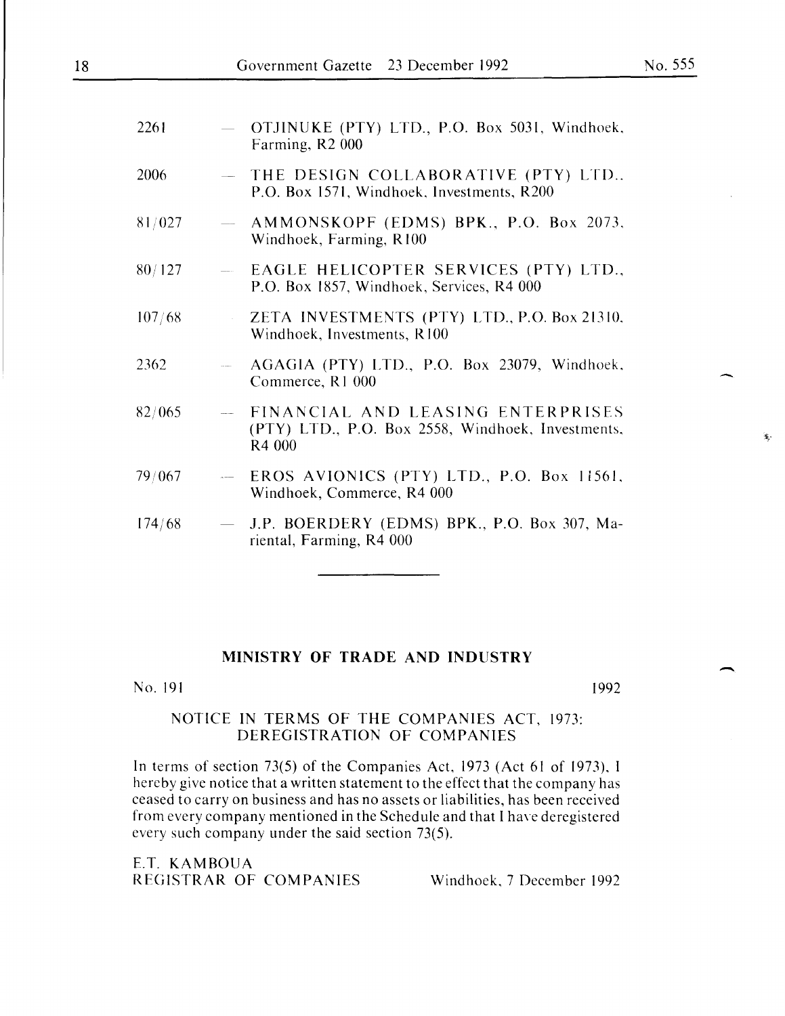$\hat{\mathbf{x}}$ 

 $\overline{\phantom{a}}$ 

| 2261   | $\overline{\phantom{0}}$ | OTJINUKE (PTY) LTD., P.O. Box 5031, Windhoek,<br>Farming, R2 000                                   |
|--------|--------------------------|----------------------------------------------------------------------------------------------------|
| 2006   |                          | THE DESIGN COLLABORATIVE (PTY) LTD<br>P.O. Box 1571, Windhoek, Investments, R200                   |
| 81/027 | $\longrightarrow$        | AMMONSKOPF (EDMS) BPK., P.O. Box 2073,<br>Windhoek, Farming, R100                                  |
| 80/127 |                          | - EAGLE HELICOPTER SERVICES (PTY) LTD.,<br>P.O. Box 1857, Windhoek, Services, R4 000               |
| 107/68 |                          | ZETA INVESTMENTS (PTY) LTD., P.O. Box 21310,<br>Windhoek, Investments, R100                        |
| 2362   |                          | AGAGIA (PTY) LTD., P.O. Box 23079, Windhoek,<br>Commerce, R1 000                                   |
| 82/065 |                          | - FINANCIAL AND LEASING ENTERPRISES<br>(PTY) LTD., P.O. Box 2558, Windhoek, Investments,<br>R4 000 |
| 79/067 |                          | $-$ EROS AVIONICS (PTY) LTD., P.O. Box 11561,<br>Windhoek, Commerce, R4 000                        |
| 174/68 |                          | - J.P. BOERDERY (EDMS) BPK., P.O. Box 307, Ma-<br>riental, Farming, R4 000                         |
|        |                          |                                                                                                    |

### MINISTRY OF TRADE AND INDUSTRY

No. 191

1992

# NOTICE IN TERMS OF THE COMPANIES ACT, 1973: DEREGISTRATION OF COMPANIES

In terms of section 73(5) of the Companies Act, 1973 (Act 61 of 1973), I hereby give notice that a written statement to the effect that the company has ceased to carry on business and has no assets or liabilities, has been received from every company mentioned in the Schedule and that I have deregistered every such company under the said section 73(5).

E.T. KAMBOUA REGISTRAR OF COMPANIES Windhoek, 7 December 1992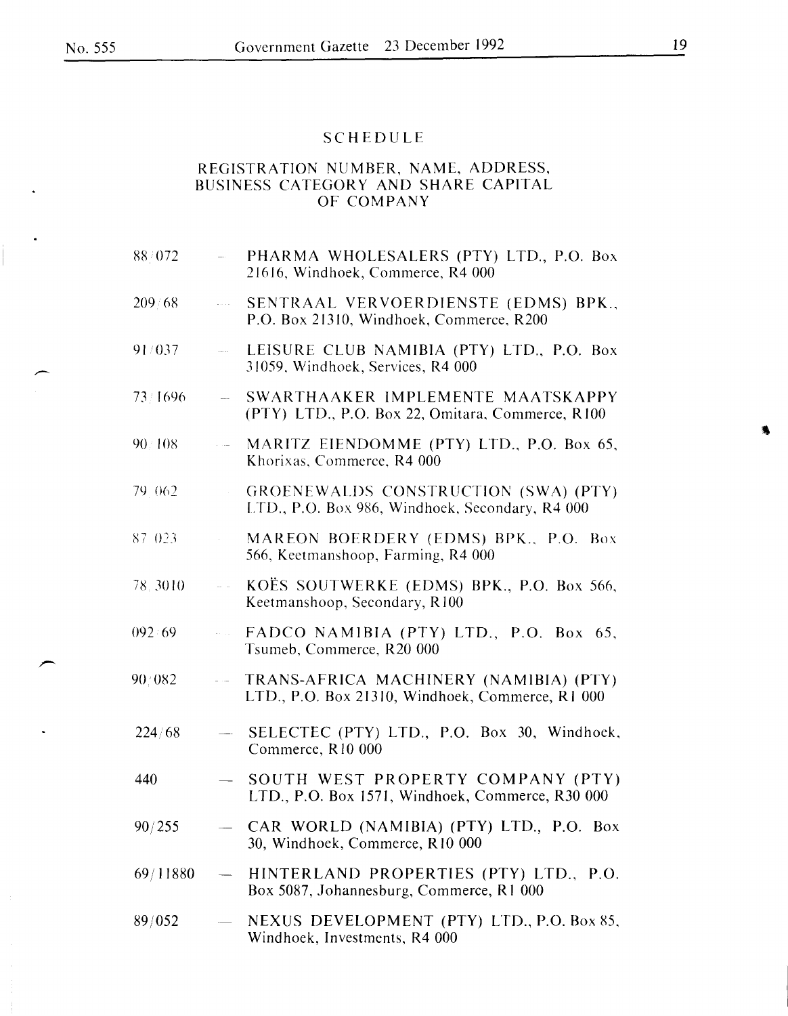# SCHEDULE

| 88/072   |                                 | - PHARMA WHOLESALERS (PTY) LTD., P.O. Box<br>21616, Windhoek, Commerce, R4 000                |
|----------|---------------------------------|-----------------------------------------------------------------------------------------------|
| 209/68   | $\hat{L}_{\rm{max}}$            | SENTRAAL VERVOERDIENSTE (EDMS) BPK.,<br>P.O. Box 21310, Windhoek, Commerce, R200              |
| 91/037   | $\frac{1}{2}$ and $\frac{1}{2}$ | LEISURE CLUB NAMIBIA (PTY) LTD., P.O. Box<br>31059, Windhoek, Services, R4 000                |
| 73/1696  | $\sim$ $\sim$                   | SWARTHAAKER IMPLEMENTE MAATSKAPPY<br>(PTY) LTD., P.O. Box 22, Omitara, Commerce, R100         |
| 90 108   | $\hat{r}$ and $\hat{r}$         | MARITZ EIENDOMME (PTY) LTD., P.O. Box 65,<br>Khorixas, Commerce, R4 000                       |
| 79 062   | $\hat{L}$                       | GROENEWALDS CONSTRUCTION (SWA) (PTY)<br>LTD., P.O. Box 986, Windhoek, Secondary, R4 000       |
| 87 023   | $\mathcal{L}^{\text{max}}$      | MAREON BOERDERY (EDMS) BPK., P.O. Box<br>566, Keetmanshoop, Farming, R4 000                   |
| 78.3010  |                                 | $\sim$ KOËS SOUTWERKE (EDMS) BPK., P.O. Box 566,<br>Keetmanshoop, Secondary, R100             |
| 092:69   | $\omega_{\rm{max}}$             | FADCO NAMIBIA (PTY) LTD., P.O. Box 65,<br>Tsumeb, Commerce, R20 000                           |
| 90/082   |                                 | -- TRANS-AFRICA MACHINERY (NAMIBIA) (PTY)<br>LTD., P.O. Box 21310, Windhoek, Commerce, R1 000 |
| 224/68   |                                 | - SELECTEC (PTY) LTD., P.O. Box 30, Windhoek,<br>Commerce, R10 000                            |
| 440      |                                 | SOUTH WEST PROPERTY COMPANY (PTY)<br>LTD., P.O. Box 1571, Windhoek, Commerce, R30 000         |
| 90/255   |                                 | CAR WORLD (NAMIBIA) (PTY) LTD., P.O. Box<br>30, Windhoek, Commerce, R10 000                   |
| 69/11880 |                                 | HINTERLAND PROPERTIES (PTY) LTD., P.O.<br>Box 5087, Johannesburg, Commerce, R1 000            |
| 89/052   | $\frac{1}{2}$                   | NEXUS DEVELOPMENT (PTY) LTD., P.O. Box 85,<br>Windhoek, Investments, R4 000                   |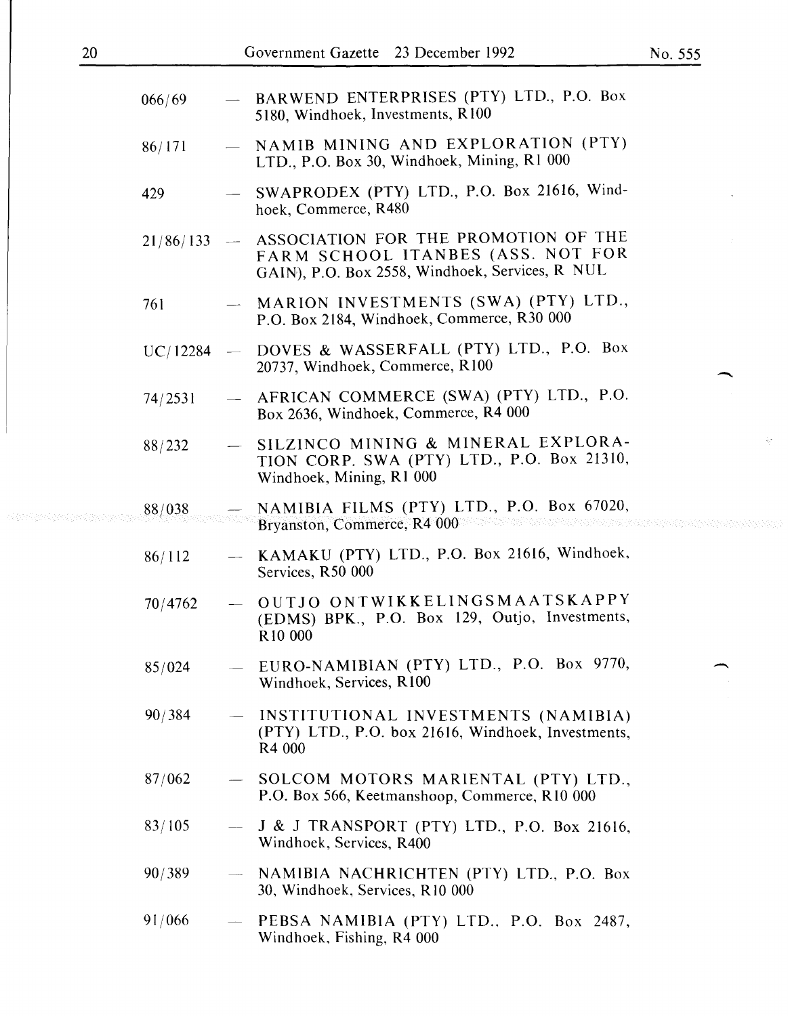| Fovernment Gazette 23 December 1992                                               |  |
|-----------------------------------------------------------------------------------|--|
| BARWEND ENTERPRISES (PTY) LTD., P.O. Box<br>5180, Windhoek, Investments, R100     |  |
| NAMIB MINING AND EXPLORATION (PTY)<br>LTD., P.O. Box 30, Windhoek, Mining, R1 000 |  |
| SWAPRODEX (PTY) LTD., P.O. Box 21616, Wind-<br>hoek, Commerce, R480               |  |

- $21/86/133$  ASSOCIATION FOR THE PROMOTION OF THE FARM SCHOOL ITANBES (ASS. NOT FOR GAIN), P.O. Box 2558, Windhoek, Services, R NUL
- 761 MARION INVESTMENTS (SWA) (PTY) LTD., P.O. Box 2184, Windhoek, Commerce, R30 000
- UC/12284 DOVES & WASSERFALL (PTY) LTD., P.O. Box 20737, Windhoek, Commerce, R100
- 74/2531 AFRICAN COMMERCE (SWA) (PTY) LTD., P.O. Box 2636, Windhoek, Commerce, R4 000
- 88/232 SILZINCO MINING & MINERAL EXPLORA-TION CORP. SWA (PTY) LTD., P.O. Box 21310, Windhoek, Mining, R1 000
- 88/038 NAMIBIA FILMS (PTY) LTD., P.O. Box 67020, Bryanston, Commerce, R4 000
- 86/112 KAMAKU (PTY) LTD., P.O. Box 21616, Windhoek, Services, R50 000
- 70/4762 OUTJO ONTWIKKELINGSMAATSKAPPY (EDMS) BPK., P.O. Box 129, Outjo, Investments, RIO 000
- 85/024 EURO-NAMIBIAN (PTY) LTD., P.O. Box 9770, Windhoek, Services, R100
- 90/384 INSTITUTIONAL INVESTMENTS (NAMIBIA) (PTY) LTD., P.O. box 21616, Windhoek, Investments, R4 000
- 87/062 SOLCOM MOTORS MARIENTAL (PTY) LTD., P.O. Box 566, Keetmanshoop, Commerce, RIO 000
- 83/105 - 1 & 1 TRANSPORT (PTY) LTD., P.O. Box 21616, Windhoek, Services, R400
- 90/389 NAMIBIA NACHRICHTEN (PTY) LTD., P.O. Box 30, Windhoek, Services, R 10 000
- 91/066 PEBSA NAMIBIA (PTY) LTD., P.O. Box 2487, Windhoek, Fishing, R4 000

066/69

86/171

429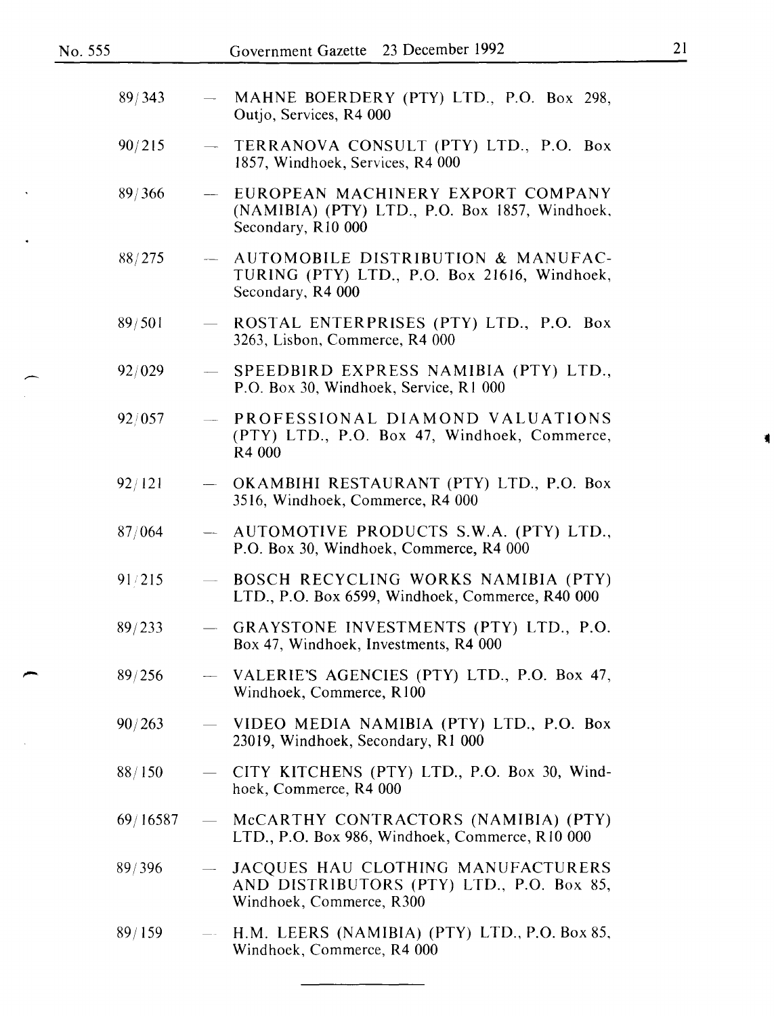| 89/343   |                            | MAHNE BOERDERY (PTY) LTD., P.O. Box 298,<br>Outjo, Services, R4 000                                         |
|----------|----------------------------|-------------------------------------------------------------------------------------------------------------|
| 90/215   | $\overline{\phantom{0}}$   | TERRANOVA CONSULT (PTY) LTD., P.O. Box<br>1857, Windhoek, Services, R4 000                                  |
| 89/366   | $\frac{1}{2}$              | EUROPEAN MACHINERY EXPORT COMPANY<br>(NAMIBIA) (PTY) LTD., P.O. Box 1857, Windhoek,<br>Secondary, R10 000   |
| 88/275   |                            | AUTOMOBILE DISTRIBUTION & MANUFAC-<br>TURING (PTY) LTD., P.O. Box 21616, Windhoek,<br>Secondary, R4 000     |
| 89/501   |                            | ROSTAL ENTERPRISES (PTY) LTD., P.O. Box<br>3263, Lisbon, Commerce, R4 000                                   |
| 92/029   |                            | SPEEDBIRD EXPRESS NAMIBIA (PTY) LTD.,<br>P.O. Box 30, Windhoek, Service, R1 000                             |
| 92/057   | $\frac{1}{2}$              | PROFESSIONAL DIAMOND VALUATIONS<br>(PTY) LTD., P.O. Box 47, Windhoek, Commerce,<br>R4 000                   |
| 92/121   |                            | - OKAMBIHI RESTAURANT (PTY) LTD., P.O. Box<br>3516, Windhoek, Commerce, R4 000                              |
| 87/064   | $\frac{1}{2}$              | AUTOMOTIVE PRODUCTS S.W.A. (PTY) LTD.,<br>P.O. Box 30, Windhoek, Commerce, R4 000                           |
| 91/215   |                            | BOSCH RECYCLING WORKS NAMIBIA (PTY)<br>LTD., P.O. Box 6599, Windhoek, Commerce, R40 000                     |
| 89/233   | $\frac{1}{2}$              | GRAYSTONE INVESTMENTS (PTY) LTD., P.O.<br>Box 47, Windhoek, Investments, R4 000                             |
| 89/256   |                            | - VALERIE'S AGENCIES (PTY) LTD., P.O. Box 47,<br>Windhoek, Commerce, R100                                   |
| 90/263   |                            | VIDEO MEDIA NAMIBIA (PTY) LTD., P.O. Box<br>23019, Windhoek, Secondary, R1 000                              |
| 88/150   | $\overline{\phantom{0}}$   | CITY KITCHENS (PTY) LTD., P.O. Box 30, Wind-<br>hoek, Commerce, R4 000                                      |
| 69/16587 | $\overline{\phantom{0}}$   | McCARTHY CONTRACTORS (NAMIBIA) (PTY)<br>LTD., P.O. Box 986, Windhoek, Commerce, R10 000                     |
| 89/396   |                            | JACQUES HAU CLOTHING MANUFACTURERS<br>AND DISTRIBUTORS (PTY) LTD., P.O. Box 85,<br>Windhoek, Commerce, R300 |
| 89/159   | $\overline{\phantom{m}}$ . | H.M. LEERS (NAMIBIA) (PTY) LTD., P.O. Box 85,<br>Windhoek, Commerce, R4 000                                 |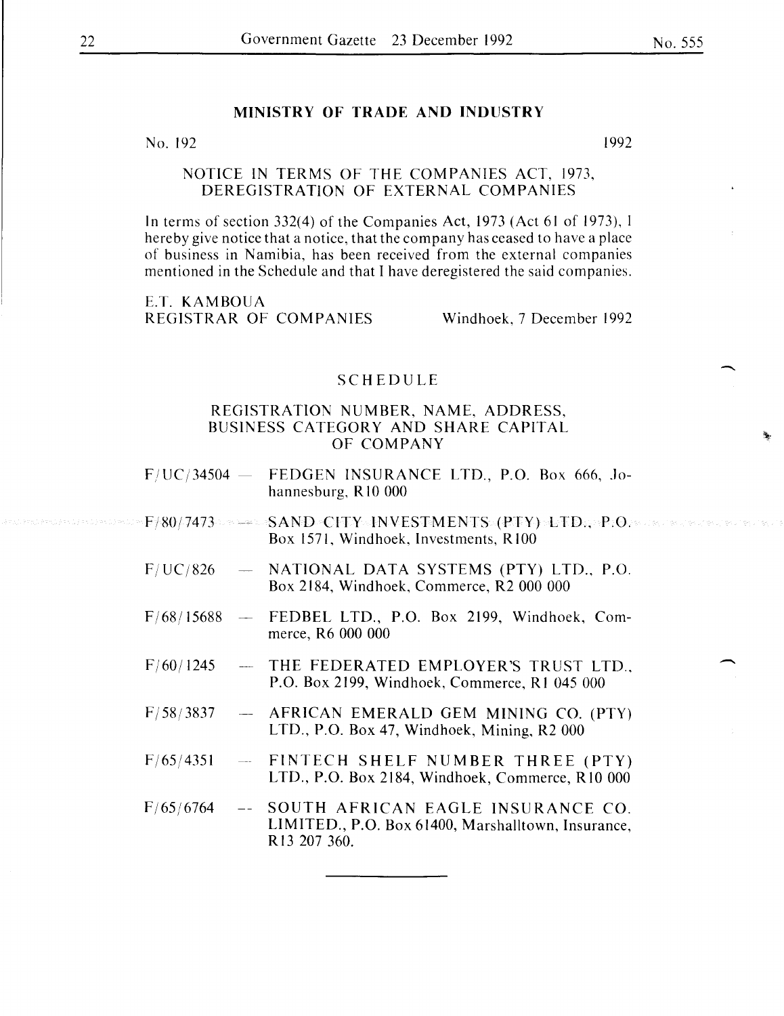#### MINISTRY OF TRADE AND INDUSTRY

 $N<sub>0</sub>$ . 192  $1992$ 

#### NOTICE IN TERMS OF THE COMPANIES ACT, I973, DEREGISTRATION OF EXTERNAL COMPANIES

In terms of section 332(4) of the Companies Act, 1973 (Act 61 of I973), I hereby give notice that a notice, that the company has ceased to have a place of business in Namibia, has been received from the external companies mentioned in the Schedule and that I have deregistered the said companies.

E.T. KAMBOUA REGISTRAR OF COMPANIES Windhoek, 7 December I992

#### SCHEDULE

- $F/UC/34504 FEDGEN INSURANCE LTD, P.O. Box 666, Jo$ hannesburg, R10 000
- F/80/7473 SAND CITY INVESTMENTS (PTY) LTD., P.O. Box 1571, Windhoek, Investments, R100
- F/ UC/826 NATIONAL DATA SYSTEMS (PTY) LTD., P.O. Box 2I84, Windhoek, Commerce, R2 000 000
- F/68/I5688 FEDBEL LTD., P.O. Box 2199, Windhoek, Commerce, R6 000 000
- F/60/1245 THE FEDERATED EMPLOYER'S TRUST LTD., P.O. Box 2I99, Windhoek, Commerce, R I 045 000
- $F/58/3837$ AFRICAN EMERALD GEM MINING CO. (PTY) LTD., P.O. Box 47, Windhoek, Mining, R2 000
- F/65/435I FINTECH SHELF NUMBER THREE (PTY) LTD., P.O. Box 2I84, Windhoek, Commerce, RIO 000
- F/65/6764 SOUTH AFRICAN EAGLE INSURANCE CO. LIMITED., P.O. Box 61400, Marshalltown, Insurance, RI3 207 360.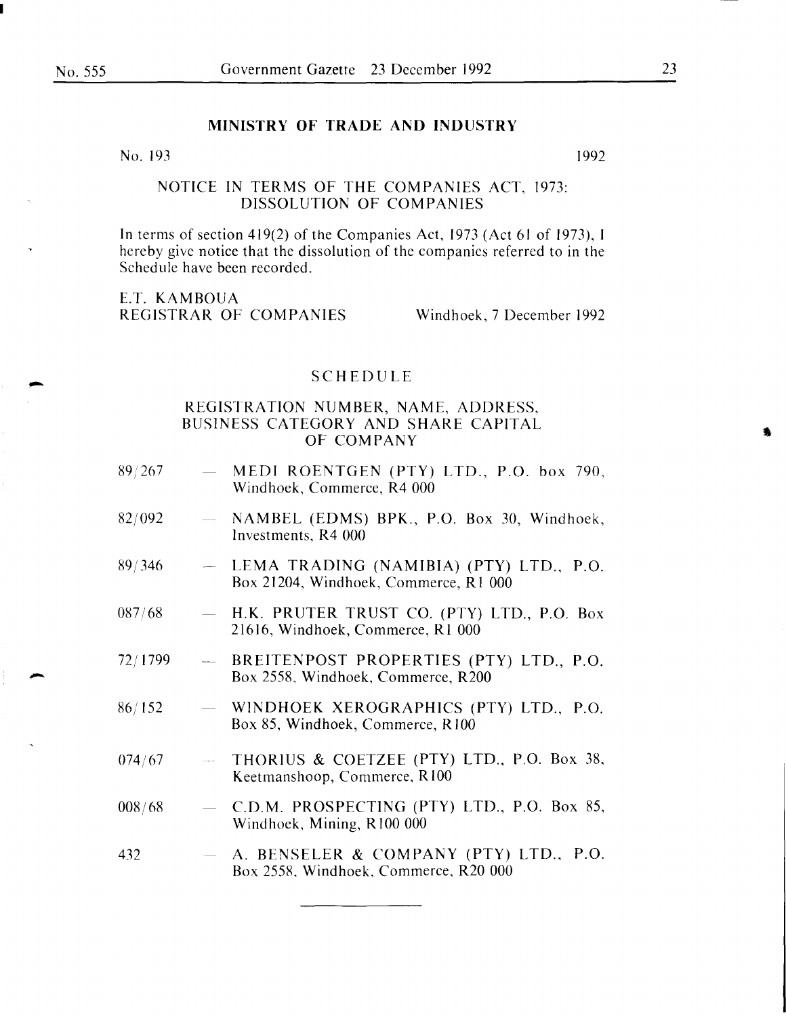#### **MINISTRY OF TRADE AND INDUSTRY**

#### No.  $193$  1992

# NOTICE IN TERMS OF THE COMPANIES ACT, 1973: DISSOLUTION OF COMPANIES

In terms of section 419(2) of the Companies Act, 1973 (Act 61 of 1973), I hereby give notice that the dissolution of the companies referred to in the Schedule have been recorded.

E.T. KAMBOUA REGISTRAR OF COMPANIES Windhoek, 7 December 1992

#### SCHEDULE

- 89/267 MEDI ROENTGEN (PTY) LTD., P.O. box 790, Windhoek, Commerce, R4 000
- 82/092 NAMBEL (EDMS) BPK., P.O. Box 30, Windhoek, Investments, R4 000
- 89/346 LEMA TRADING (NAMIBIA) (PTY) LTD., P.O. Box 21204, Windhoek, Commerce, R I 000
- 087/68 H.K. PRUTER TRUST CO. (PTY) LTD., P.O. Box 21616, Windhoek, Commerce, Rl 000
- 72/1799  $\frac{1}{2}$ BREITENPOST PROPERTIES (PTY) LTD., P.O. Box 2558, Windhoek, Commerce, R200
- 86/152 WINDHOEK XEROGRAPHICS (PTY) LTD., P.O. Box 85, Windhoek, Commerce, R100
- THORIUS & COETZEE (PTY) LTD., P.O. Box 38, *074!67*  Keetmanshoop, Commerce, RIOO
- 008/68 C.D.M. PROSPECTING (PTY) LTD., P.O. Box 85, Windhoek, Mining, R 100 000
- 432 A. BENSELER & COMPANY (PTY) LTD., P.O. Box 2558, Windhoek, Commerce, R20 000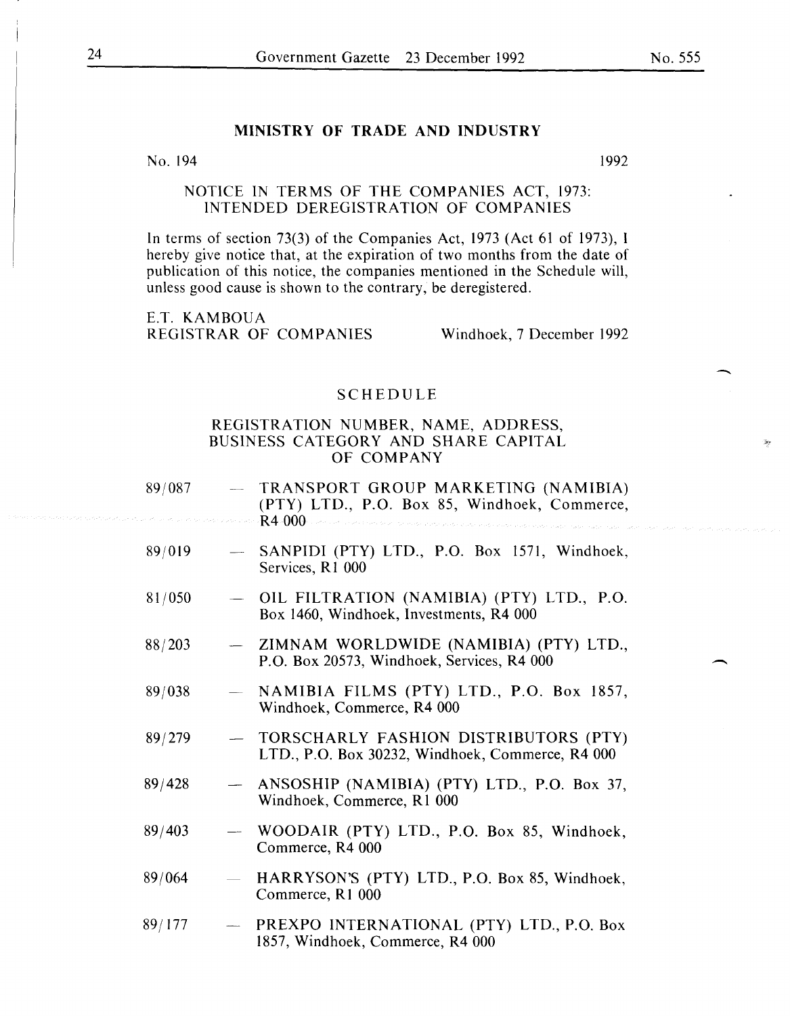# MINISTRY OF TRADE AND INDUSTRY

No. 194 1992

#### NOTICE IN TERMS OF THE COMPANIES ACT, 1973: INTENDED DEREGISTRATION OF COMPANIES

In terms of section 73(3) of the Companies Act, 1973 (Act 61 of 1973), I hereby give notice that, at the expiration of two months from the date of publication of this notice, the companies mentioned in the Schedule will, unless good cause is shown to the contrary, be deregistered.

E.T. KAMBOUA REGISTRAR OF COMPANIES Windhoek, 7 December 1992

#### SCHEDULE

| 89/087 |                          | - TRANSPORT GROUP MARKETING (NAMIBIA)<br>(PTY) LTD., P.O. Box 85, Windhoek, Commerce,<br>to also $\mathsf{R4}\text{-}000$ , and a second contract the contraction of the contract of the contract of the contract of the contract of |
|--------|--------------------------|--------------------------------------------------------------------------------------------------------------------------------------------------------------------------------------------------------------------------------------|
| 89/019 |                          | - SANPIDI (PTY) LTD., P.O. Box 1571, Windhoek,<br>Services, R1 000                                                                                                                                                                   |
| 81/050 |                          | - OIL FILTRATION (NAMIBIA) (PTY) LTD., P.O.<br>Box 1460, Windhoek, Investments, R4 000                                                                                                                                               |
| 88/203 |                          | - ZIMNAM WORLDWIDE (NAMIBIA) (PTY) LTD.,<br>P.O. Box 20573, Windhoek, Services, R4 000                                                                                                                                               |
| 89/038 |                          | - NAMIBIA FILMS (PTY) LTD., P.O. Box 1857,<br>Windhoek, Commerce, R4 000                                                                                                                                                             |
| 89/279 | $\overline{\phantom{0}}$ | TORSCHARLY FASHION DISTRIBUTORS (PTY)<br>LTD., P.O. Box 30232, Windhoek, Commerce, R4 000                                                                                                                                            |
| 89/428 |                          | ANSOSHIP (NAMIBIA) (PTY) LTD., P.O. Box 37,<br>Windhoek, Commerce, R1 000                                                                                                                                                            |
| 89/403 |                          | WOODAIR (PTY) LTD., P.O. Box 85, Windhoek,<br>Commerce, R4 000                                                                                                                                                                       |
| 89/064 | $\overline{\phantom{0}}$ | HARRYSON'S (PTY) LTD., P.O. Box 85, Windhoek,<br>Commerce, R1 000                                                                                                                                                                    |
| 89/177 |                          | PREXPO INTERNATIONAL (PTY) LTD., P.O. Box<br>1857, Windhoek, Commerce, R4 000                                                                                                                                                        |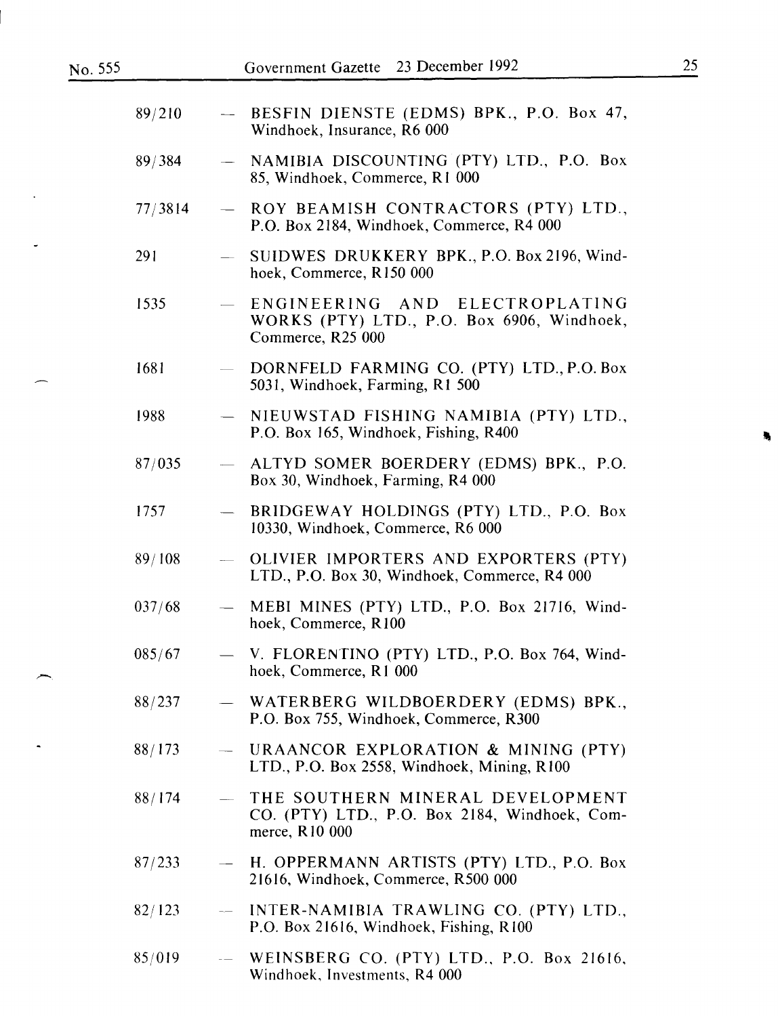$\overline{a}$ 

 $\ddot{\phantom{a}}$ 

 $\overline{\phantom{1}}$ 

 $\ddot{\phantom{a}}$ 

| 89/210  |                          | - BESFIN DIENSTE (EDMS) BPK., P.O. Box 47,<br>Windhoek, Insurance, R6 000                           |
|---------|--------------------------|-----------------------------------------------------------------------------------------------------|
| 89/384  | $\overline{\phantom{0}}$ | NAMIBIA DISCOUNTING (PTY) LTD., P.O. Box<br>85, Windhoek, Commerce, R1 000                          |
| 77/3814 | $\overline{\phantom{m}}$ | ROY BEAMISH CONTRACTORS (PTY) LTD.,<br>P.O. Box 2184, Windhoek, Commerce, R4 000                    |
| 291     | $\frac{1}{2}$            | SUIDWES DRUKKERY BPK., P.O. Box 2196, Wind-<br>hoek, Commerce, R150 000                             |
| 1535    | $\frac{1}{2}$            | ENGINEERING AND ELECTROPLATING<br>WORKS (PTY) LTD., P.O. Box 6906, Windhoek,<br>Commerce, R25 000   |
| 1681    |                          | DORNFELD FARMING CO. (PTY) LTD., P.O. Box<br>5031, Windhoek, Farming, R1 500                        |
| 1988    |                          | NIEUWSTAD FISHING NAMIBIA (PTY) LTD.,<br>P.O. Box 165, Windhoek, Fishing, R400                      |
| 87/035  | $\overline{\phantom{a}}$ | ALTYD SOMER BOERDERY (EDMS) BPK., P.O.<br>Box 30, Windhoek, Farming, R4 000                         |
| 1757    | $\overline{\phantom{m}}$ | BRIDGEWAY HOLDINGS (PTY) LTD., P.O. Box<br>10330, Windhoek, Commerce, R6 000                        |
| 89/108  | $\frac{1}{2}$            | OLIVIER IMPORTERS AND EXPORTERS (PTY)<br>LTD., P.O. Box 30, Windhoek, Commerce, R4 000              |
| 037/68  | $\overline{\phantom{0}}$ | MEBI MINES (PTY) LTD., P.O. Box 21716, Wind-<br>hoek, Commerce, R100                                |
| 085/67  |                          | V. FLORENTINO (PTY) LTD., P.O. Box 764, Wind-<br>hoek, Commerce, R1 000                             |
| 88/237  |                          | - WATERBERG WILDBOERDERY (EDMS) BPK.,<br>P.O. Box 755, Windhoek, Commerce, R300                     |
| 88/173  | $\frac{1}{2}$            | URAANCOR EXPLORATION & MINING (PTY)<br>LTD., P.O. Box 2558, Windhoek, Mining, R100                  |
| 88/174  |                          | THE SOUTHERN MINERAL DEVELOPMENT<br>CO. (PTY) LTD., P.O. Box 2184, Windhoek, Com-<br>merce, R10 000 |
| 87/233  | $\overline{\phantom{0}}$ | H. OPPERMANN ARTISTS (PTY) LTD., P.O. Box<br>21616, Windhoek, Commerce, R500 000                    |
| 82/123  |                          | INTER-NAMIBIA TRAWLING CO. (PTY) LTD.,<br>P.O. Box 21616, Windhoek, Fishing, R100                   |
| 85/019  |                          | WEINSBERG CO. (PTY) LTD., P.O. Box 21616,<br>Windhoek, Investments, R4 000                          |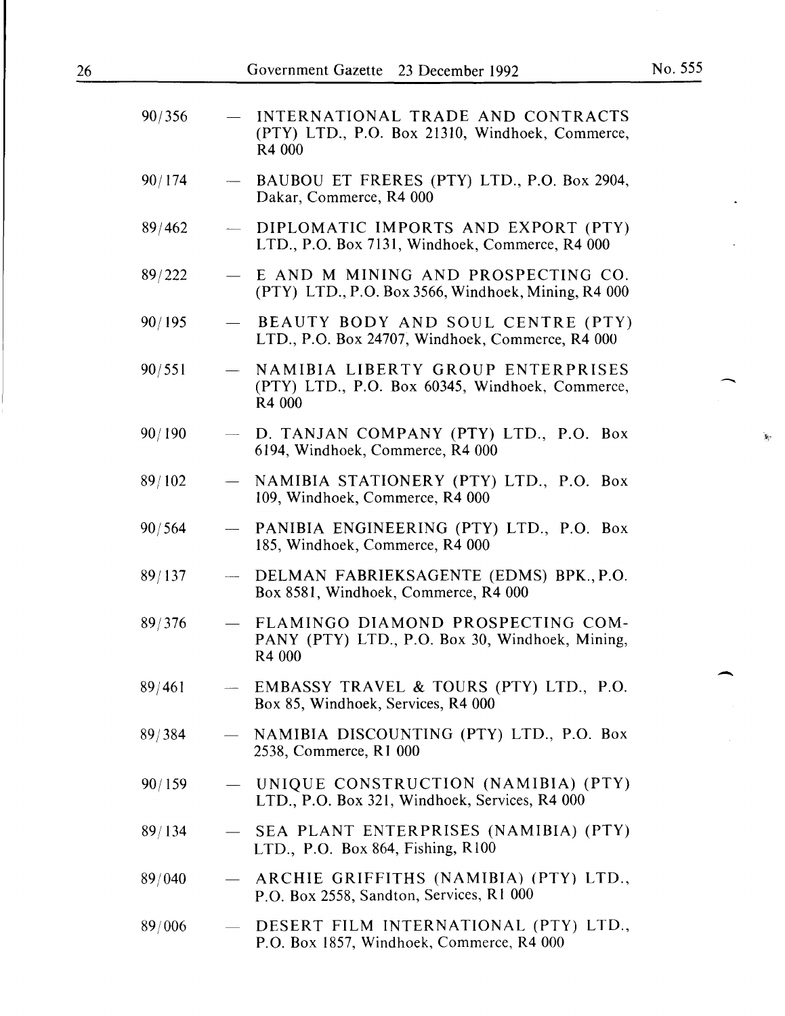$\mathbf{v}$ 

 $\overline{\phantom{a}}$ 

| 90/356 |                          | INTERNATIONAL TRADE AND CONTRACTS<br>(PTY) LTD., P.O. Box 21310, Windhoek, Commerce,<br>R4 000 |
|--------|--------------------------|------------------------------------------------------------------------------------------------|
| 90/174 | $\overline{\phantom{m}}$ | BAUBOU ET FRERES (PTY) LTD., P.O. Box 2904,<br>Dakar, Commerce, R4 000                         |
| 89/462 |                          | DIPLOMATIC IMPORTS AND EXPORT (PTY)<br>LTD., P.O. Box 7131, Windhoek, Commerce, R4 000         |
| 89/222 |                          | E AND M MINING AND PROSPECTING CO.<br>(PTY) LTD., P.O. Box 3566, Windhoek, Mining, R4 000      |
| 90/195 |                          | BEAUTY BODY AND SOUL CENTRE (PTY)<br>LTD., P.O. Box 24707, Windhoek, Commerce, R4 000          |
| 90/551 | $\overline{\phantom{0}}$ | NAMIBIA LIBERTY GROUP ENTERPRISES<br>(PTY) LTD., P.O. Box 60345, Windhoek, Commerce,<br>R4 000 |
| 90/190 |                          | - D. TANJAN COMPANY (PTY) LTD., P.O. Box<br>6194, Windhoek, Commerce, R4 000                   |
| 89/102 | $\overline{\phantom{0}}$ | NAMIBIA STATIONERY (PTY) LTD., P.O. Box<br>109, Windhoek, Commerce, R4 000                     |
| 90/564 | $\overline{\phantom{a}}$ | PANIBIA ENGINEERING (PTY) LTD., P.O. Box<br>185, Windhoek, Commerce, R4 000                    |
| 89/137 |                          | - DELMAN FABRIEKSAGENTE (EDMS) BPK., P.O.<br>Box 8581, Windhoek, Commerce, R4 000              |
| 89/376 | $\frac{1}{2}$            | FLAMINGO DIAMOND PROSPECTING COM-<br>PANY (PTY) LTD., P.O. Box 30, Windhoek, Mining,<br>R4 000 |
| 89/461 |                          | EMBASSY TRAVEL & TOURS (PTY) LTD., P.O.<br>Box 85, Windhoek, Services, R4 000                  |
| 89/384 |                          | NAMIBIA DISCOUNTING (PTY) LTD., P.O. Box<br>2538, Commerce, R1 000                             |
| 90/159 |                          | - UNIQUE CONSTRUCTION (NAMIBIA) (PTY)<br>LTD., P.O. Box 321, Windhoek, Services, R4 000        |
| 89/134 |                          | SEA PLANT ENTERPRISES (NAMIBIA) (PTY)<br>LTD., P.O. Box 864, Fishing, $R100$                   |
| 89/040 |                          | ARCHIE GRIFFITHS (NAMIBIA) (PTY) LTD.,<br>P.O. Box 2558, Sandton, Services, R1 000             |
| 89/006 | $\hspace{0.05cm}$        | DESERT FILM INTERNATIONAL (PTY) LTD.,<br>P.O. Box 1857, Windhoek, Commerce, R4 000             |